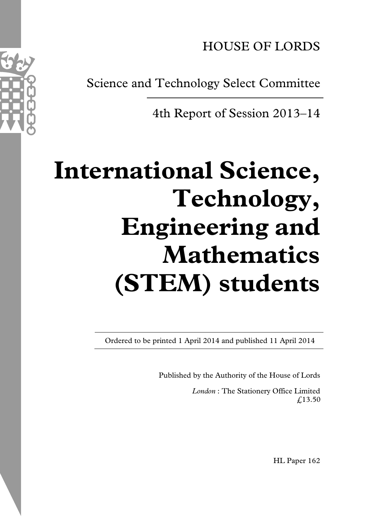HOUSE OF LORDS

Science and Technology Select Committee

4th Report of Session 2013–14

# **International Science, Technology, Engineering and Mathematics (STEM) students**

Ordered to be printed 1 April 2014 and published 11 April 2014

Published by the Authority of the House of Lords

*London* : The Stationery Office Limited £13.50

HL Paper 162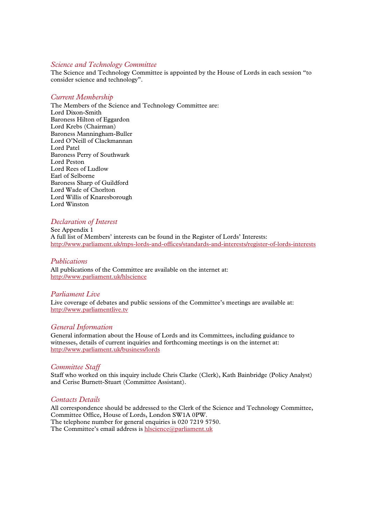#### *Science and Technology Committee*

The Science and Technology Committee is appointed by the House of Lords in each session "to consider science and technology".

#### *Current Membership*

The Members of the Science and Technology Committee are: Lord Dixon-Smith Baroness Hilton of Eggardon Lord Krebs (Chairman) Baroness Manningham-Buller Lord O'Neill of Clackmannan Lord Patel Baroness Perry of Southwark Lord Peston Lord Rees of Ludlow Earl of Selborne Baroness Sharp of Guildford Lord Wade of Chorlton Lord Willis of Knaresborough Lord Winston

# *Declaration of Interest*

See Appendix 1 A full list of Members' interests can be found in the Register of Lords' Interests: http://www.parliament.uk/mps-lords-and-offices/standards-and-interests/register-of-lords-interests

#### *Publications*

All publications of the Committee are available on the internet at: http://www.parliament.uk/hlscience

#### *Parliament Live*

Live coverage of debates and public sessions of the Committee's meetings are available at: http://www.parliamentlive.tv

#### *General Information*

General information about the House of Lords and its Committees, including guidance to witnesses, details of current inquiries and forthcoming meetings is on the internet at: http://www.parliament.uk/business/lords

# *Committee Staff*

Staff who worked on this inquiry include Chris Clarke (Clerk), Kath Bainbridge (Policy Analyst) and Cerise Burnett-Stuart (Committee Assistant).

# *Contacts Details*

All correspondence should be addressed to the Clerk of the Science and Technology Committee, Committee Office, House of Lords, London SW1A 0PW. The telephone number for general enquiries is 020 7219 5750. The Committee's email address is hlscience@parliament.uk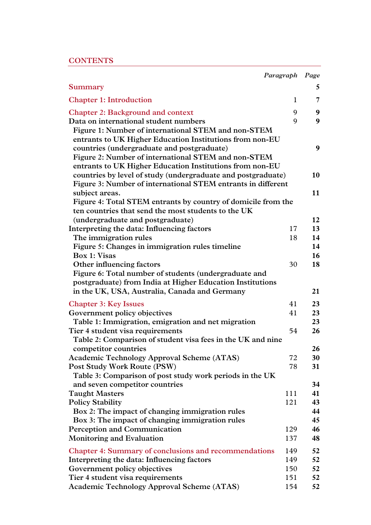# **CONTENTS**

|                                                               | Paragraph    | Page |
|---------------------------------------------------------------|--------------|------|
| <b>Summary</b>                                                |              | 5    |
| <b>Chapter 1: Introduction</b>                                | $\mathbf{1}$ | 7    |
| <b>Chapter 2: Background and context</b>                      | 9            | 9    |
| Data on international student numbers                         | 9            | 9    |
| Figure 1: Number of international STEM and non-STEM           |              |      |
| entrants to UK Higher Education Institutions from non-EU      |              |      |
| countries (undergraduate and postgraduate)                    |              | 9    |
| Figure 2: Number of international STEM and non-STEM           |              |      |
| entrants to UK Higher Education Institutions from non-EU      |              |      |
| countries by level of study (undergraduate and postgraduate)  |              | 10   |
| Figure 3: Number of international STEM entrants in different  |              |      |
| subject areas.                                                |              | 11   |
| Figure 4: Total STEM entrants by country of domicile from the |              |      |
| ten countries that send the most students to the UK           |              |      |
| (undergraduate and postgraduate)                              |              | 12   |
| Interpreting the data: Influencing factors                    | 17           | 13   |
| The immigration rules                                         | 18           | 14   |
| Figure 5: Changes in immigration rules timeline               |              | 14   |
| Box 1: Visas                                                  |              | 16   |
| Other influencing factors                                     | 30           | 18   |
| Figure 6: Total number of students (undergraduate and         |              |      |
| postgraduate) from India at Higher Education Institutions     |              |      |
| in the UK, USA, Australia, Canada and Germany                 |              | 21   |
| <b>Chapter 3: Key Issues</b>                                  | 41           | 23   |
| Government policy objectives                                  | 41           | 23   |
| Table 1: Immigration, emigration and net migration            |              | 23   |
| Tier 4 student visa requirements                              | 54           | 26   |
| Table 2: Comparison of student visa fees in the UK and nine   |              |      |
| competitor countries                                          |              | 26   |
| <b>Academic Technology Approval Scheme (ATAS)</b>             | 72           | 30   |
| Post Study Work Route (PSW)                                   | 78           | 31   |
| Table 3: Comparison of post study work periods in the UK      |              |      |
| and seven competitor countries                                |              | 34   |
| <b>Taught Masters</b>                                         | 111          | 41   |
| <b>Policy Stability</b>                                       | 121          | 43   |
| Box 2: The impact of changing immigration rules               |              | 44   |
| Box 3: The impact of changing immigration rules               |              | 45   |
| <b>Perception and Communication</b>                           | 129          | 46   |
| <b>Monitoring and Evaluation</b>                              | 137          | 48   |
| <b>Chapter 4: Summary of conclusions and recommendations</b>  | 149          | 52   |
| Interpreting the data: Influencing factors                    | 149          | 52   |
| Government policy objectives                                  | 150          | 52   |
| Tier 4 student visa requirements                              | 151          | 52   |
| <b>Academic Technology Approval Scheme (ATAS)</b>             | 154          | 52   |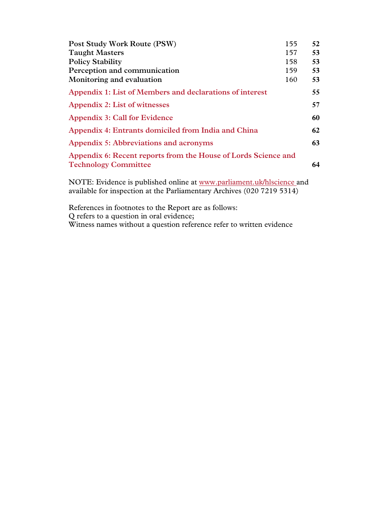| Post Study Work Route (PSW)                                                                   | 155 | 52 |
|-----------------------------------------------------------------------------------------------|-----|----|
| <b>Taught Masters</b>                                                                         | 157 | 53 |
| <b>Policy Stability</b>                                                                       | 158 | 53 |
| Perception and communication                                                                  | 159 | 53 |
| Monitoring and evaluation                                                                     | 160 | 53 |
| Appendix 1: List of Members and declarations of interest                                      |     | 55 |
| Appendix 2: List of witnesses                                                                 |     | 57 |
| <b>Appendix 3: Call for Evidence</b>                                                          |     | 60 |
| Appendix 4: Entrants domiciled from India and China                                           |     | 62 |
| Appendix 5: Abbreviations and acronyms                                                        |     | 63 |
| Appendix 6: Recent reports from the House of Lords Science and<br><b>Technology Committee</b> |     | 64 |

NOTE: Evidence is published online at www.parliament.uk/hlscience and available for inspection at the Parliamentary Archives (020 7219 5314)

References in footnotes to the Report are as follows: Q refers to a question in oral evidence; Witness names without a question reference refer to written evidence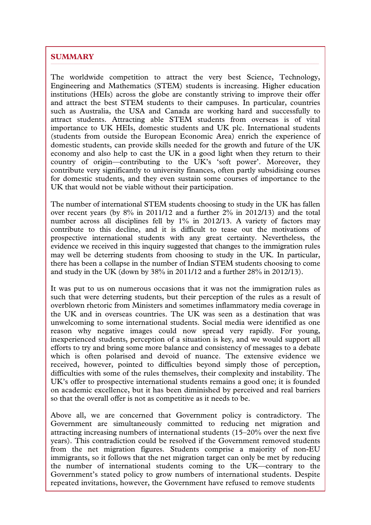# **SUMMARY**

The worldwide competition to attract the very best Science, Technology, Engineering and Mathematics (STEM) students is increasing. Higher education institutions (HEIs) across the globe are constantly striving to improve their offer and attract the best STEM students to their campuses. In particular, countries such as Australia, the USA and Canada are working hard and successfully to attract students. Attracting able STEM students from overseas is of vital importance to UK HEIs, domestic students and UK plc. International students (students from outside the European Economic Area) enrich the experience of domestic students, can provide skills needed for the growth and future of the UK economy and also help to cast the UK in a good light when they return to their country of origin—contributing to the UK's 'soft power'. Moreover, they contribute very significantly to university finances, often partly subsidising courses for domestic students, and they even sustain some courses of importance to the UK that would not be viable without their participation.

The number of international STEM students choosing to study in the UK has fallen over recent years (by 8% in 2011/12 and a further 2% in 2012/13) and the total number across all disciplines fell by 1% in 2012/13. A variety of factors may contribute to this decline, and it is difficult to tease out the motivations of prospective international students with any great certainty. Nevertheless, the evidence we received in this inquiry suggested that changes to the immigration rules may well be deterring students from choosing to study in the UK. In particular, there has been a collapse in the number of Indian STEM students choosing to come and study in the UK (down by  $38\%$  in 2011/12 and a further  $28\%$  in 2012/13).

It was put to us on numerous occasions that it was not the immigration rules as such that were deterring students, but their perception of the rules as a result of overblown rhetoric from Ministers and sometimes inflammatory media coverage in the UK and in overseas countries. The UK was seen as a destination that was unwelcoming to some international students. Social media were identified as one reason why negative images could now spread very rapidly. For young, inexperienced students, perception of a situation is key, and we would support all efforts to try and bring some more balance and consistency of messages to a debate which is often polarised and devoid of nuance. The extensive evidence we received, however, pointed to difficulties beyond simply those of perception, difficulties with some of the rules themselves, their complexity and instability. The UK's offer to prospective international students remains a good one; it is founded on academic excellence, but it has been diminished by perceived and real barriers so that the overall offer is not as competitive as it needs to be.

Above all, we are concerned that Government policy is contradictory. The Government are simultaneously committed to reducing net migration and attracting increasing numbers of international students (15–20% over the next five years). This contradiction could be resolved if the Government removed students from the net migration figures. Students comprise a majority of non-EU immigrants, so it follows that the net migration target can only be met by reducing the number of international students coming to the UK—contrary to the Government's stated policy to grow numbers of international students. Despite repeated invitations, however, the Government have refused to remove students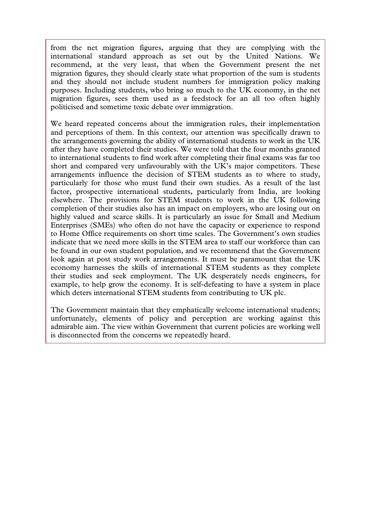from the net migration figures, arguing that they are complying with the international standard approach as set out by the United Nations. We recommend, at the very least, that when the Government present the net migration figures, they should clearly state what proportion of the sum is students and they should not include student numbers for immigration policy making purposes. Including students, who bring so much to the UK economy, in the net migration figures, sees them used as a feedstock for an all too often highly politicised and sometime toxic debate over immigration.

We heard repeated concerns about the immigration rules, their implementation and perceptions of them. In this context, our attention was specifically drawn to the arrangements governing the ability of international students to work in the UK after they have completed their studies. We were told that the four months granted to international students to find work after completing their final exams was far too short and compared very unfavourably with the UK's major competitors. These arrangements influence the decision of STEM students as to where to study, particularly for those who must fund their own studies. As a result of the last factor, prospective international students, particularly from India, are looking elsewhere. The provisions for STEM students to work in the UK following completion of their studies also has an impact on employers, who are losing out on highly valued and scarce skills. It is particularly an issue for Small and Medium Enterprises (SMEs) who often do not have the capacity or experience to respond to Home Office requirements on short time scales. The Government's own studies indicate that we need more skills in the STEM area to staff our workforce than can be found in our own student population, and we recommend that the Government look again at post study work arrangements. It must be paramount that the UK economy harnesses the skills of international STEM students as they complete their studies and seek employment. The UK desperately needs engineers, for example, to help grow the economy. It is self-defeating to have a system in place which deters international STEM students from contributing to UK plc.

The Government maintain that they emphatically welcome international students; unfortunately, elements of policy and perception are working against this admirable aim. The view within Government that current policies are working well is disconnected from the concerns we repeatedly heard.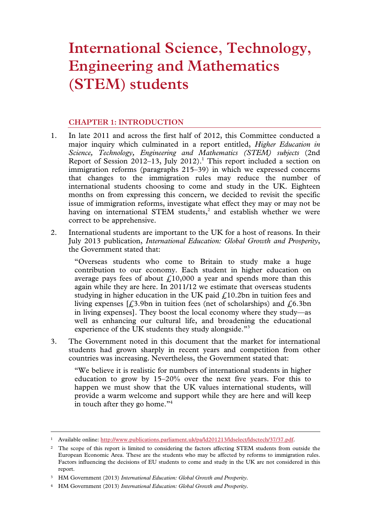# **International Science, Technology, Engineering and Mathematics (STEM) students**

# **CHAPTER 1: INTRODUCTION**

- 1. In late 2011 and across the first half of 2012, this Committee conducted a major inquiry which culminated in a report entitled, *Higher Education in Science, Technology, Engineering and Mathematics (STEM) subjects* (2nd Report of Session 2012–13, July 2012).<sup>1</sup> This report included a section on immigration reforms (paragraphs 215–39) in which we expressed concerns that changes to the immigration rules may reduce the number of international students choosing to come and study in the UK. Eighteen months on from expressing this concern, we decided to revisit the specific issue of immigration reforms, investigate what effect they may or may not be having on international STEM students, $2$  and establish whether we were correct to be apprehensive.
- 2. International students are important to the UK for a host of reasons. In their July 2013 publication, *International Education: Global Growth and Prosperity*, the Government stated that:

"Overseas students who come to Britain to study make a huge contribution to our economy. Each student in higher education on average pays fees of about  $\text{\textsterling}10,000$  a year and spends more than this again while they are here. In 2011/12 we estimate that overseas students studying in higher education in the UK paid  $f<sub>i</sub>10.2$ bn in tuition fees and living expenses  $[*L*3.9bn$  in tuition fees (net of scholarships) and  $\ell$ .6.3bn in living expenses]. They boost the local economy where they study—as well as enhancing our cultural life, and broadening the educational experience of the UK students they study alongside."<sup>3</sup>

3. The Government noted in this document that the market for international students had grown sharply in recent years and competition from other countries was increasing. Nevertheless, the Government stated that:

"We believe it is realistic for numbers of international students in higher education to grow by 15–20% over the next five years. For this to happen we must show that the UK values international students, will provide a warm welcome and support while they are here and will keep in touch after they go home."4

 <sup>1</sup> Available online: http://www.publications.parliament.uk/pa/ld201213/ldselect/ldsctech/37/37.pdf.

<sup>2</sup> The scope of this report is limited to considering the factors affecting STEM students from outside the European Economic Area. These are the students who may be affected by reforms to immigration rules. Factors influencing the decisions of EU students to come and study in the UK are not considered in this report.

<sup>3</sup> HM Government (2013) *International Education: Global Growth and Prosperity*.

<sup>4</sup> HM Government (2013) *International Education: Global Growth and Prosperity*.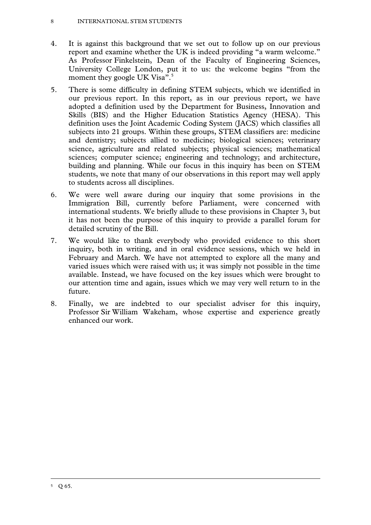#### 8 INTERNATIONAL STEM STUDENTS

- 4. It is against this background that we set out to follow up on our previous report and examine whether the UK is indeed providing "a warm welcome." As Professor Finkelstein, Dean of the Faculty of Engineering Sciences, University College London, put it to us: the welcome begins "from the moment they google UK Visa".<sup>5</sup>
- 5. There is some difficulty in defining STEM subjects, which we identified in our previous report. In this report, as in our previous report, we have adopted a definition used by the Department for Business, Innovation and Skills (BIS) and the Higher Education Statistics Agency (HESA). This definition uses the Joint Academic Coding System (JACS) which classifies all subjects into 21 groups. Within these groups, STEM classifiers are: medicine and dentistry; subjects allied to medicine; biological sciences; veterinary science, agriculture and related subjects; physical sciences; mathematical sciences; computer science; engineering and technology; and architecture, building and planning. While our focus in this inquiry has been on STEM students, we note that many of our observations in this report may well apply to students across all disciplines.
- 6. We were well aware during our inquiry that some provisions in the Immigration Bill, currently before Parliament, were concerned with international students. We briefly allude to these provisions in Chapter 3, but it has not been the purpose of this inquiry to provide a parallel forum for detailed scrutiny of the Bill.
- 7. We would like to thank everybody who provided evidence to this short inquiry, both in writing, and in oral evidence sessions, which we held in February and March. We have not attempted to explore all the many and varied issues which were raised with us; it was simply not possible in the time available. Instead, we have focused on the key issues which were brought to our attention time and again, issues which we may very well return to in the future.
- 8. Finally, we are indebted to our specialist adviser for this inquiry, Professor Sir William Wakeham, whose expertise and experience greatly enhanced our work.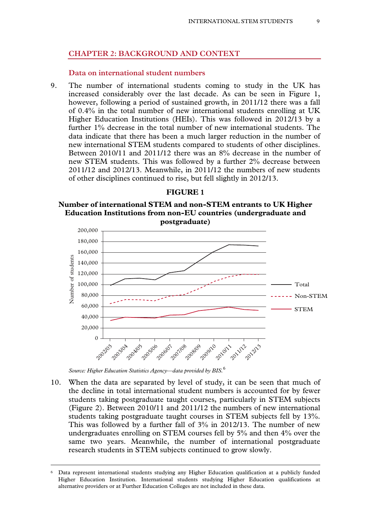# **CHAPTER 2: BACKGROUND AND CONTEXT**

#### **Data on international student numbers**

9. The number of international students coming to study in the UK has increased considerably over the last decade. As can be seen in Figure 1, however, following a period of sustained growth, in 2011/12 there was a fall of 0.4% in the total number of new international students enrolling at UK Higher Education Institutions (HEIs). This was followed in 2012/13 by a further 1% decrease in the total number of new international students. The data indicate that there has been a much larger reduction in the number of new international STEM students compared to students of other disciplines. Between 2010/11 and 2011/12 there was an 8% decrease in the number of new STEM students. This was followed by a further 2% decrease between 2011/12 and 2012/13. Meanwhile, in 2011/12 the numbers of new students of other disciplines continued to rise, but fell slightly in 2012/13.

#### **FIGURE 1**

#### **Number of international STEM and non-STEM entrants to UK Higher Education Institutions from non-EU countries (undergraduate and postgraduate)**



*Source: Higher Education Statistics Agency—data provided by BIS.*<sup>6</sup>

10. When the data are separated by level of study, it can be seen that much of the decline in total international student numbers is accounted for by fewer students taking postgraduate taught courses, particularly in STEM subjects (Figure 2). Between 2010/11 and 2011/12 the numbers of new international students taking postgraduate taught courses in STEM subjects fell by 13%. This was followed by a further fall of 3% in 2012/13. The number of new undergraduates enrolling on STEM courses fell by 5% and then 4% over the same two years. Meanwhile, the number of international postgraduate research students in STEM subjects continued to grow slowly.

Data represent international students studying any Higher Education qualification at a publicly funded Higher Education Institution. International students studying Higher Education qualifications at alternative providers or at Further Education Colleges are not included in these data.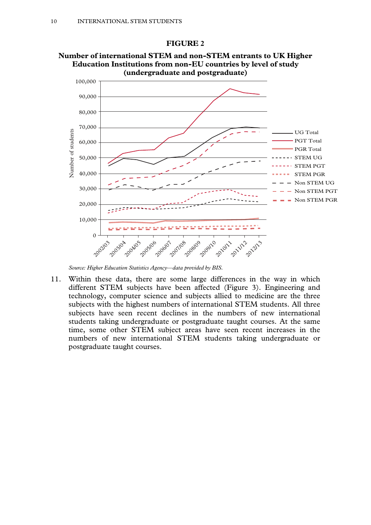

**Number of international STEM and non-STEM entrants to UK Higher Education Institutions from non-EU countries by level of study** 

**FIGURE 2** 

11. Within these data, there are some large differences in the way in which different STEM subjects have been affected (Figure 3). Engineering and technology, computer science and subjects allied to medicine are the three subjects with the highest numbers of international STEM students. All three subjects have seen recent declines in the numbers of new international students taking undergraduate or postgraduate taught courses. At the same time, some other STEM subject areas have seen recent increases in the numbers of new international STEM students taking undergraduate or postgraduate taught courses.

*Source: Higher Education Statistics Agency—data provided by BIS.*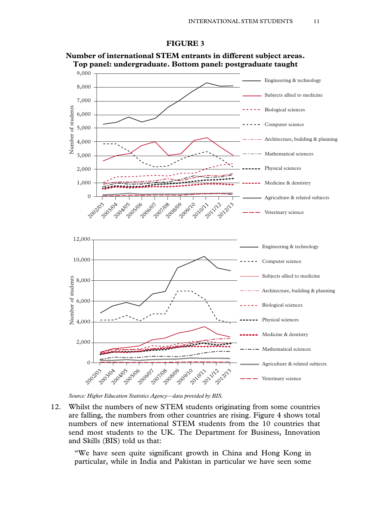



**Number of international STEM entrants in different subject areas. Top panel: undergraduate. Bottom panel: postgraduate taught** 

*Source: Higher Education Statistics Agency—data provided by BIS.* 

12. Whilst the numbers of new STEM students originating from some countries are falling, the numbers from other countries are rising. Figure 4 shows total numbers of new international STEM students from the 10 countries that send most students to the UK. The Department for Business, Innovation and Skills (BIS) told us that:

"We have seen quite significant growth in China and Hong Kong in particular, while in India and Pakistan in particular we have seen some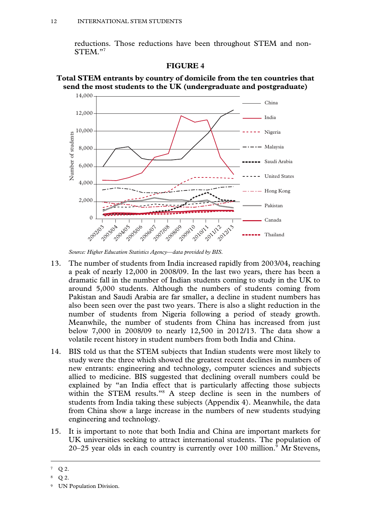reductions. Those reductions have been throughout STEM and non-STEM."7







*Source: Higher Education Statistics Agency—data provided by BIS.* 

- 13. The number of students from India increased rapidly from 2003/04, reaching a peak of nearly 12,000 in 2008/09. In the last two years, there has been a dramatic fall in the number of Indian students coming to study in the UK to around 5,000 students. Although the numbers of students coming from Pakistan and Saudi Arabia are far smaller, a decline in student numbers has also been seen over the past two years. There is also a slight reduction in the number of students from Nigeria following a period of steady growth. Meanwhile, the number of students from China has increased from just below 7,000 in 2008/09 to nearly 12,500 in 2012/13. The data show a volatile recent history in student numbers from both India and China.
- 14. BIS told us that the STEM subjects that Indian students were most likely to study were the three which showed the greatest recent declines in numbers of new entrants: engineering and technology, computer sciences and subjects allied to medicine. BIS suggested that declining overall numbers could be explained by "an India effect that is particularly affecting those subjects within the STEM results."<sup>8</sup> A steep decline is seen in the numbers of students from India taking these subjects (Appendix 4). Meanwhile, the data from China show a large increase in the numbers of new students studying engineering and technology.
- 15. It is important to note that both India and China are important markets for UK universities seeking to attract international students. The population of 20–25 year olds in each country is currently over 100 million.<sup>9</sup> Mr Stevens,

 $7$  O 2.

<sup>8</sup> Q 2.

<sup>9</sup> UN Population Division.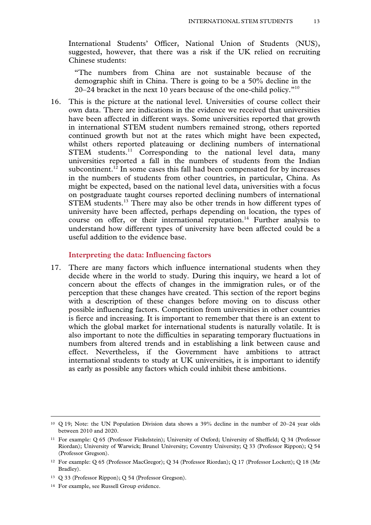International Students' Officer, National Union of Students (NUS), suggested, however, that there was a risk if the UK relied on recruiting Chinese students:

"The numbers from China are not sustainable because of the demographic shift in China. There is going to be a 50% decline in the 20–24 bracket in the next 10 years because of the one-child policy. $10^{\circ}$ 

16. This is the picture at the national level. Universities of course collect their own data. There are indications in the evidence we received that universities have been affected in different ways. Some universities reported that growth in international STEM student numbers remained strong, others reported continued growth but not at the rates which might have been expected, whilst others reported plateauing or declining numbers of international STEM students.<sup>11</sup> Corresponding to the national level data, many universities reported a fall in the numbers of students from the Indian subcontinent.<sup>12</sup> In some cases this fall had been compensated for by increases in the numbers of students from other countries, in particular, China. As might be expected, based on the national level data, universities with a focus on postgraduate taught courses reported declining numbers of international STEM students.<sup>13</sup> There may also be other trends in how different types of university have been affected, perhaps depending on location, the types of course on offer, or their international reputation.<sup>14</sup> Further analysis to understand how different types of university have been affected could be a useful addition to the evidence base.

#### **Interpreting the data: Influencing factors**

17. There are many factors which influence international students when they decide where in the world to study. During this inquiry, we heard a lot of concern about the effects of changes in the immigration rules, or of the perception that these changes have created. This section of the report begins with a description of these changes before moving on to discuss other possible influencing factors. Competition from universities in other countries is fierce and increasing. It is important to remember that there is an extent to which the global market for international students is naturally volatile. It is also important to note the difficulties in separating temporary fluctuations in numbers from altered trends and in establishing a link between cause and effect. Nevertheless, if the Government have ambitions to attract international students to study at UK universities, it is important to identify as early as possible any factors which could inhibit these ambitions.

 <sup>10</sup> Q 19; Note: the UN Population Division data shows a 39% decline in the number of 20–24 year olds between 2010 and 2020.

<sup>11</sup> For example: Q 65 (Professor Finkelstein); University of Oxford; University of Sheffield; Q 34 (Professor Riordan); University of Warwick; Brunel University; Coventry University; Q 33 (Professor Rippon); Q 54 (Professor Gregson).

<sup>12</sup> For example: Q 65 (Professor MacGregor); Q 34 (Professor Riordan); Q 17 (Professor Lockett); Q 18 (Mr Bradley).

<sup>13</sup> Q 33 (Professor Rippon); Q 54 (Professor Gregson).

<sup>14</sup> For example, see Russell Group evidence.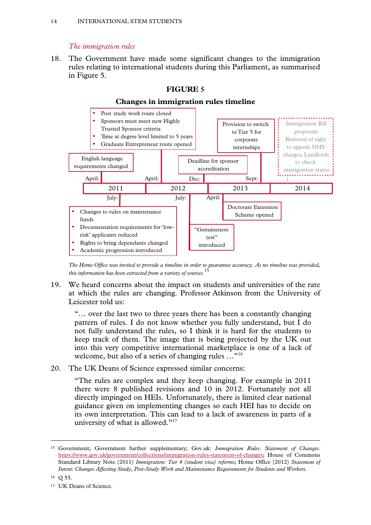# *The immigration rules*

18. The Government have made some significant changes to the immigration rules relating to international students during this Parliament, as summarised in Figure 5.



**FIGURE 5** 

*The Home Office was invited to provide a timeline in order to guarantee accuracy. As no timeline was provided, this information has been extracted from a variety of sources.*<sup>15</sup>

19. We heard concerns about the impact on students and universities of the rate at which the rules are changing. Professor Atkinson from the University of Leicester told us:

"… over the last two to three years there has been a constantly changing pattern of rules. I do not know whether you fully understand, but I do not fully understand the rules, so I think it is hard for the students to keep track of them. The image that is being projected by the UK out into this very competitive international marketplace is one of a lack of welcome, but also of a series of changing rules ..."<sup>16</sup>

20. The UK Deans of Science expressed similar concerns:

"The rules are complex and they keep changing. For example in 2011 there were 8 published revisions and 10 in 2012. Fortunately not all directly impinged on HEIs. Unfortunately, there is limited clear national guidance given on implementing changes so each HEI has to decide on its own interpretation. This can lead to a lack of awareness in parts of a university of what is allowed."<sup>17</sup>

16 Q 55.

 <sup>15</sup> Government; Government further supplementary; Gov.uk*: Immigration Rules: Statement of Changes*. https://www.gov.uk/government/collections/immigration-rules-statement-of-changes; House of Commons Standard Library Note (2011) *Immigration: Tier 4 (student visa) reforms*; Home Office (2012) *Statement of Intent: Changes Affecting Study, Post-Study Work and Maintenance Requirements for Students and Workers.*

<sup>&</sup>lt;sup>17</sup> UK Deans of Science.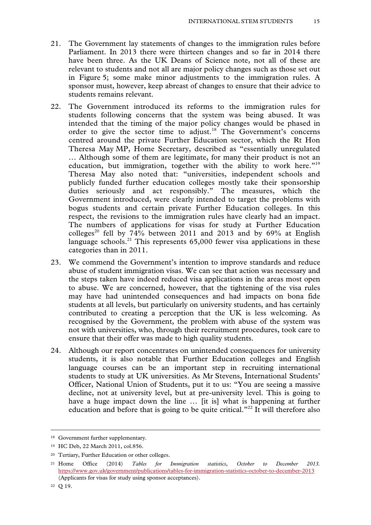- 21. The Government lay statements of changes to the immigration rules before Parliament. In 2013 there were thirteen changes and so far in 2014 there have been three. As the UK Deans of Science note, not all of these are relevant to students and not all are major policy changes such as those set out in Figure 5; some make minor adjustments to the immigration rules. A sponsor must, however, keep abreast of changes to ensure that their advice to students remains relevant.
- 22. The Government introduced its reforms to the immigration rules for students following concerns that the system was being abused. It was intended that the timing of the major policy changes would be phased in order to give the sector time to adjust.<sup>18</sup> The Government's concerns centred around the private Further Education sector, which the Rt Hon Theresa May MP, Home Secretary, described as "essentially unregulated … Although some of them are legitimate, for many their product is not an education, but immigration, together with the ability to work here."<sup>19</sup> Theresa May also noted that: "universities, independent schools and publicly funded further education colleges mostly take their sponsorship duties seriously and act responsibly." The measures, which the Government introduced, were clearly intended to target the problems with bogus students and certain private Further Education colleges. In this respect, the revisions to the immigration rules have clearly had an impact. The numbers of applications for visas for study at Further Education colleges<sup>20</sup> fell by 74% between 2011 and 2013 and by 69% at English language schools.<sup>21</sup> This represents  $65,000$  fewer visa applications in these categories than in 2011.
- 23. We commend the Government's intention to improve standards and reduce abuse of student immigration visas. We can see that action was necessary and the steps taken have indeed reduced visa applications in the areas most open to abuse. We are concerned, however, that the tightening of the visa rules may have had unintended consequences and had impacts on bona fide students at all levels, but particularly on university students, and has certainly contributed to creating a perception that the UK is less welcoming. As recognised by the Government, the problem with abuse of the system was not with universities, who, through their recruitment procedures, took care to ensure that their offer was made to high quality students.
- 24. Although our report concentrates on unintended consequences for university students, it is also notable that Further Education colleges and English language courses can be an important step in recruiting international students to study at UK universities. As Mr Stevens, International Students' Officer, National Union of Students, put it to us: "You are seeing a massive decline, not at university level, but at pre-university level. This is going to have a huge impact down the line … [it is] what is happening at further education and before that is going to be quite critical."<sup>22</sup> It will therefore also

 <sup>18</sup> Government further supplementary.

<sup>19</sup> HC Deb, 22 March 2011, col.856.

<sup>20</sup> Tertiary, Further Education or other colleges.

<sup>21</sup> Home Office (2014) *Tables for Immigration statistics, October to December 2013.*  https://www.gov.uk/government/publications/tables-for-immigration-statistics-october-to-december-2013 (Applicants for visas for study using sponsor acceptances).

<sup>22</sup> Q 19.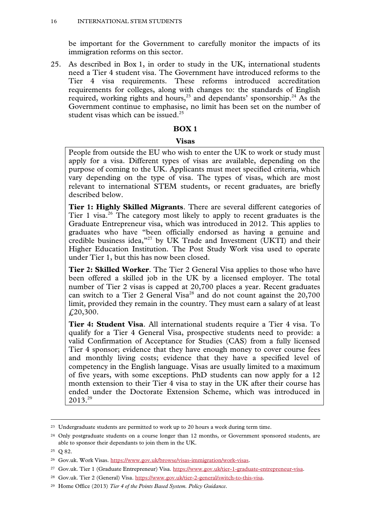be important for the Government to carefully monitor the impacts of its immigration reforms on this sector.

25. As described in Box 1, in order to study in the UK, international students need a Tier 4 student visa. The Government have introduced reforms to the Tier 4 visa requirements. These reforms introduced accreditation requirements for colleges, along with changes to: the standards of English required, working rights and hours,<sup>23</sup> and dependants' sponsorship.<sup>24</sup> As the Government continue to emphasise, no limit has been set on the number of student visas which can be issued.<sup>25</sup>

#### **BOX 1**

#### **Visas**

People from outside the EU who wish to enter the UK to work or study must apply for a visa. Different types of visas are available, depending on the purpose of coming to the UK. Applicants must meet specified criteria, which vary depending on the type of visa. The types of visas, which are most relevant to international STEM students, or recent graduates, are briefly described below.

**Tier 1: Highly Skilled Migrants**. There are several different categories of Tier 1 visa.<sup>26</sup> The category most likely to apply to recent graduates is the Graduate Entrepreneur visa, which was introduced in 2012. This applies to graduates who have "been officially endorsed as having a genuine and credible business idea,"27 by UK Trade and Investment (UKTI) and their Higher Education Institution. The Post Study Work visa used to operate under Tier 1, but this has now been closed.

**Tier 2: Skilled Worker**. The Tier 2 General Visa applies to those who have been offered a skilled job in the UK by a licensed employer. The total number of Tier 2 visas is capped at 20,700 places a year. Recent graduates can switch to a Tier 2 General Visa<sup>28</sup> and do not count against the 20,700 limit, provided they remain in the country. They must earn a salary of at least £20,300.

**Tier 4: Student Visa**. All international students require a Tier 4 visa. To qualify for a Tier 4 General Visa, prospective students need to provide: a valid Confirmation of Acceptance for Studies (CAS) from a fully licensed Tier 4 sponsor; evidence that they have enough money to cover course fees and monthly living costs; evidence that they have a specified level of competency in the English language. Visas are usually limited to a maximum of five years, with some exceptions. PhD students can now apply for a 12 month extension to their Tier 4 visa to stay in the UK after their course has ended under the Doctorate Extension Scheme, which was introduced in  $2013.<sup>29</sup>$ 

<sup>&</sup>lt;sup>23</sup> Undergraduate students are permitted to work up to 20 hours a week during term time.

<sup>&</sup>lt;sup>24</sup> Only postgraduate students on a course longer than 12 months, or Government sponsored students, are able to sponsor their dependants to join them in the UK.

<sup>25</sup> Q 82.

<sup>26</sup> Gov.uk. Work Visas. https://www.gov.uk/browse/visas-immigration/work-visas.

<sup>27</sup> Gov.uk. Tier 1 (Graduate Entrepreneur) Visa. https://www.gov.uk/tier-1-graduate-entrepreneur-visa.

<sup>28</sup> Gov.uk. Tier 2 (General) Visa. https://www.gov.uk/tier-2-general/switch-to-this-visa.

<sup>29</sup> Home Office (2013) *Tier 4 of the Points Based System. Policy Guidance*.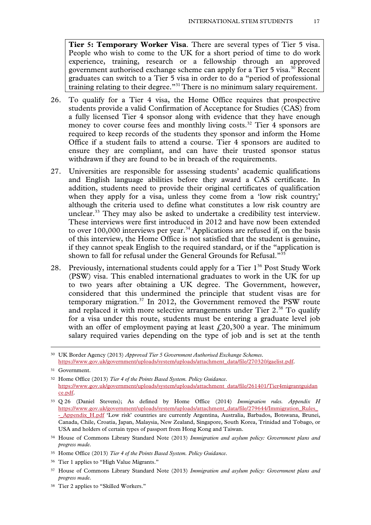**Tier 5: Temporary Worker Visa**. There are several types of Tier 5 visa. People who wish to come to the UK for a short period of time to do work experience, training, research or a fellowship through an approved government authorised exchange scheme can apply for a Tier  $5$  visa.<sup>30</sup> Recent graduates can switch to a Tier 5 visa in order to do a "period of professional training relating to their degree."31 There is no minimum salary requirement.

- 26. To qualify for a Tier 4 visa, the Home Office requires that prospective students provide a valid Confirmation of Acceptance for Studies (CAS) from a fully licensed Tier 4 sponsor along with evidence that they have enough money to cover course fees and monthly living costs.<sup>32</sup> Tier 4 sponsors are required to keep records of the students they sponsor and inform the Home Office if a student fails to attend a course. Tier 4 sponsors are audited to ensure they are compliant, and can have their trusted sponsor status withdrawn if they are found to be in breach of the requirements.
- 27. Universities are responsible for assessing students' academic qualifications and English language abilities before they award a CAS certificate. In addition, students need to provide their original certificates of qualification when they apply for a visa, unless they come from a 'low risk country;' although the criteria used to define what constitutes a low risk country are unclear.<sup>33</sup> They may also be asked to undertake a credibility test interview. These interviews were first introduced in 2012 and have now been extended to over  $100,000$  interviews per year.<sup>34</sup> Applications are refused if, on the basis of this interview, the Home Office is not satisfied that the student is genuine, if they cannot speak English to the required standard, or if the "application is shown to fall for refusal under the General Grounds for Refusal."35
- 28. Previously, international students could apply for a Tier 1<sup>36</sup> Post Study Work (PSW) visa. This enabled international graduates to work in the UK for up to two years after obtaining a UK degree. The Government, however, considered that this undermined the principle that student visas are for temporary migration. $37 \text{ In } 2012$ , the Government removed the PSW route and replaced it with more selective arrangements under Tier  $2<sup>38</sup>$  To qualify for a visa under this route, students must be entering a graduate level job with an offer of employment paying at least  $\hat{\epsilon}$  20,300 a year. The minimum salary required varies depending on the type of job and is set at the tenth

- <sup>36</sup> Tier 1 applies to "High Value Migrants."
- 37 House of Commons Library Standard Note (2013) *Immigration and asylum policy: Government plans and progress made*.
- 38 Tier 2 applies to "Skilled Workers."

 <sup>30</sup> UK Border Agency (2013) *Approved Tier 5 Government Authorised Exchange Schemes*. https://www.gov.uk/government/uploads/system/uploads/attachment\_data/file/270320/gaelist.pdf.

<sup>31</sup> Government.

<sup>32</sup> Home Office (2013) *Tier 4 of the Points Based System. Policy Guidance*. https://www.gov.uk/government/uploads/system/uploads/attachment\_data/file/261401/Tier4migrantguidan ce.pdf.

<sup>33</sup> Q 26 (Daniel Stevens); As defined by Home Office (2014) *Immigration rules. Appendix H*  https://www.gov.uk/government/uploads/system/uploads/attachment\_data/file/279644/Immigration\_Rules\_ - Appendix H.pdf 'Low risk' countries are currently Argentina, Australia, Barbados, Botswana, Brunei, Canada, Chile, Croatia, Japan, Malaysia, New Zealand, Singapore, South Korea, Trinidad and Tobago, or USA and holders of certain types of passport from Hong Kong and Taiwan.

<sup>34</sup> House of Commons Library Standard Note (2013) *Immigration and asylum policy: Government plans and progress made*.

<sup>35</sup> Home Office (2013) *Tier 4 of the Points Based System. Policy Guidance*.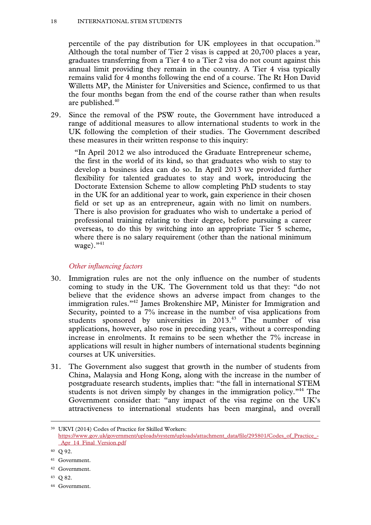percentile of the pay distribution for UK employees in that occupation.<sup>39</sup> Although the total number of Tier 2 visas is capped at 20,700 places a year, graduates transferring from a Tier 4 to a Tier 2 visa do not count against this annual limit providing they remain in the country. A Tier 4 visa typically remains valid for 4 months following the end of a course. The Rt Hon David Willetts MP, the Minister for Universities and Science, confirmed to us that the four months began from the end of the course rather than when results are published.40

29. Since the removal of the PSW route, the Government have introduced a range of additional measures to allow international students to work in the UK following the completion of their studies. The Government described these measures in their written response to this inquiry:

"In April 2012 we also introduced the Graduate Entrepreneur scheme, the first in the world of its kind, so that graduates who wish to stay to develop a business idea can do so. In April 2013 we provided further flexibility for talented graduates to stay and work, introducing the Doctorate Extension Scheme to allow completing PhD students to stay in the UK for an additional year to work, gain experience in their chosen field or set up as an entrepreneur, again with no limit on numbers. There is also provision for graduates who wish to undertake a period of professional training relating to their degree, before pursuing a career overseas, to do this by switching into an appropriate Tier 5 scheme, where there is no salary requirement (other than the national minimum wage). $"^{41}$ 

#### *Other influencing factors*

- 30. Immigration rules are not the only influence on the number of students coming to study in the UK. The Government told us that they: "do not believe that the evidence shows an adverse impact from changes to the immigration rules."42 James Brokenshire MP, Minister for Immigration and Security, pointed to a 7% increase in the number of visa applications from students sponsored by universities in 2013.<sup>43</sup> The number of visa applications, however, also rose in preceding years, without a corresponding increase in enrolments. It remains to be seen whether the 7% increase in applications will result in higher numbers of international students beginning courses at UK universities.
- 31. The Government also suggest that growth in the number of students from China, Malaysia and Hong Kong, along with the increase in the number of postgraduate research students, implies that: "the fall in international STEM students is not driven simply by changes in the immigration policy.<sup>344</sup> The Government consider that: "any impact of the visa regime on the UK's attractiveness to international students has been marginal, and overall

- 42 Government.
- 43 Q 82.
- 44 Government.

 <sup>39</sup> UKVI (2014) Codes of Practice for Skilled Workers: https://www.gov.uk/government/uploads/system/uploads/attachment\_data/file/295801/Codes\_of\_Practice\_-Apr 14 Final Version.pdf

<sup>40</sup> Q 92.

<sup>41</sup> Government.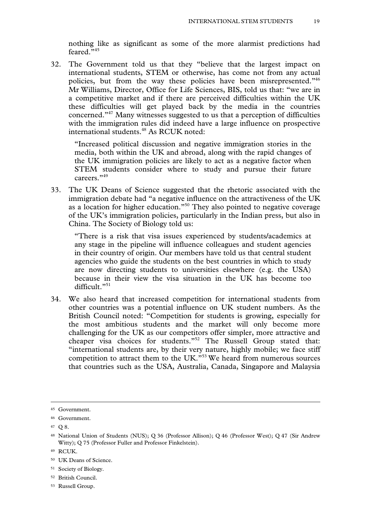nothing like as significant as some of the more alarmist predictions had feared."45

32. The Government told us that they "believe that the largest impact on international students, STEM or otherwise, has come not from any actual policies, but from the way these policies have been misrepresented."46 Mr Williams, Director, Office for Life Sciences, BIS, told us that: "we are in a competitive market and if there are perceived difficulties within the UK these difficulties will get played back by the media in the countries concerned."47 Many witnesses suggested to us that a perception of difficulties with the immigration rules did indeed have a large influence on prospective international students.<sup>48</sup> As RCUK noted:

"Increased political discussion and negative immigration stories in the media, both within the UK and abroad, along with the rapid changes of the UK immigration policies are likely to act as a negative factor when STEM students consider where to study and pursue their future careers."49

33. The UK Deans of Science suggested that the rhetoric associated with the immigration debate had "a negative influence on the attractiveness of the UK as a location for higher education."50 They also pointed to negative coverage of the UK's immigration policies, particularly in the Indian press, but also in China. The Society of Biology told us:

"There is a risk that visa issues experienced by students/academics at any stage in the pipeline will influence colleagues and student agencies in their country of origin. Our members have told us that central student agencies who guide the students on the best countries in which to study are now directing students to universities elsewhere (e.g. the USA) because in their view the visa situation in the UK has become too difficult."<sup>51</sup>

34. We also heard that increased competition for international students from other countries was a potential influence on UK student numbers. As the British Council noted: "Competition for students is growing, especially for the most ambitious students and the market will only become more challenging for the UK as our competitors offer simpler, more attractive and cheaper visa choices for students."52 The Russell Group stated that: "international students are, by their very nature, highly mobile; we face stiff competition to attract them to the UK."53 We heard from numerous sources that countries such as the USA, Australia, Canada, Singapore and Malaysia

51 Society of Biology.

 <sup>45</sup> Government.

<sup>46</sup> Government.

<sup>47</sup> Q 8.

<sup>48</sup> National Union of Students (NUS); Q 36 (Professor Allison); Q 46 (Professor West); Q 47 (Sir Andrew Witty); Q 75 (Professor Fuller and Professor Finkelstein).

<sup>49</sup> RCUK.

<sup>50</sup> UK Deans of Science.

<sup>52</sup> British Council.

<sup>53</sup> Russell Group.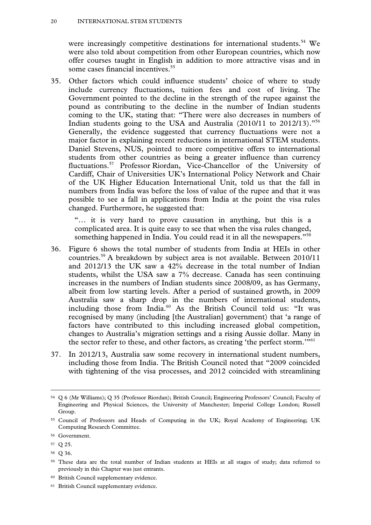were increasingly competitive destinations for international students.<sup>54</sup> We were also told about competition from other European countries, which now offer courses taught in English in addition to more attractive visas and in some cases financial incentives.<sup>55</sup>

35. Other factors which could influence students' choice of where to study include currency fluctuations, tuition fees and cost of living. The Government pointed to the decline in the strength of the rupee against the pound as contributing to the decline in the number of Indian students coming to the UK, stating that: "There were also decreases in numbers of Indian students going to the USA and Australia (2010/11 to 2012/13)."56 Generally, the evidence suggested that currency fluctuations were not a major factor in explaining recent reductions in international STEM students. Daniel Stevens, NUS, pointed to more competitive offers to international students from other countries as being a greater influence than currency fluctuations.57 Professor Riordan, Vice-Chancellor of the University of Cardiff, Chair of Universities UK's International Policy Network and Chair of the UK Higher Education International Unit, told us that the fall in numbers from India was before the loss of value of the rupee and that it was possible to see a fall in applications from India at the point the visa rules changed. Furthermore, he suggested that:

"… it is very hard to prove causation in anything, but this is a complicated area. It is quite easy to see that when the visa rules changed, something happened in India. You could read it in all the newspapers."<sup>58</sup>

- 36. Figure 6 shows the total number of students from India at HEIs in other countries.59 A breakdown by subject area is not available. Between 2010/11 and 2012/13 the UK saw a 42% decrease in the total number of Indian students, whilst the USA saw a 7% decrease. Canada has seen continuing increases in the numbers of Indian students since 2008/09, as has Germany, albeit from low starting levels. After a period of sustained growth, in 2009 Australia saw a sharp drop in the numbers of international students, including those from India.<sup>60</sup> As the British Council told us: "It was recognised by many (including [the Australian] government) that 'a range of factors have contributed to this including increased global competition, changes to Australia's migration settings and a rising Aussie dollar. Many in the sector refer to these, and other factors, as creating 'the perfect storm.'"61
- 37. In 2012/13, Australia saw some recovery in international student numbers, including those from India. The British Council noted that "2009 coincided with tightening of the visa processes, and 2012 coincided with streamlining

 <sup>54</sup> Q 6 (Mr Williams); Q 35 (Professor Riordan); British Council; Engineering Professors' Council; Faculty of Engineering and Physical Sciences, the University of Manchester; Imperial College London; Russell Group.

<sup>55</sup> Council of Professors and Heads of Computing in the UK; Royal Academy of Engineering; UK Computing Research Committee.

<sup>56</sup> Government.

<sup>57</sup> Q 25.

<sup>58</sup> Q 36.

<sup>59</sup> These data are the total number of Indian students at HEIs at all stages of study; data referred to previously in this Chapter was just entrants.

<sup>60</sup> British Council supplementary evidence.

<sup>61</sup> British Council supplementary evidence.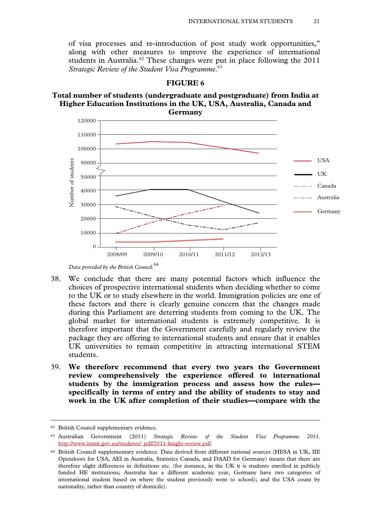of visa processes and re-introduction of post study work opportunities," along with other measures to improve the experience of international students in Australia.<sup>62</sup> These changes were put in place following the  $2011$ *Strategic Review of the Student Visa Programme*. 63



#### **FIGURE 6**

**Total number of students (undergraduate and postgraduate) from India at Higher Education Institutions in the UK, USA, Australia, Canada and** 

- 38. We conclude that there are many potential factors which influence the choices of prospective international students when deciding whether to come to the UK or to study elsewhere in the world. Immigration policies are one of these factors and there is clearly genuine concern that the changes made during this Parliament are deterring students from coming to the UK. The global market for international students is extremely competitive. It is therefore important that the Government carefully and regularly review the package they are offering to international students and ensure that it enables UK universities to remain competitive in attracting international STEM students.
- 39. **We therefore recommend that every two years the Government review comprehensively the experience offered to international students by the immigration process and assess how the rules specifically in terms of entry and the ability of students to stay and work in the UK after completion of their studies—compare with the**

*Data provided by the British Council.*<sup>64</sup>

 <sup>62</sup> British Council supplementary evidence.

<sup>63</sup> Australian Government (2011) *Strategic Review of the Student Visa Programme 2011*. http://www.immi.gov.au/students/\_pdf/2011-knight-review.pdf.

<sup>64</sup> British Council supplementary evidence. Data derived from different national sources (HESA in UK, IIE Opendoors for USA, AEI in Australia, Statistics Canada, and DAAD for Germany) means that there are therefore slight differences in definitions etc. (for instance, in the UK it is students enrolled in publicly funded HE institutions; Australia has a different academic year, Germany have two categories of international student based on where the student previously went to school); and the USA count by nationality, rather than country of domicile).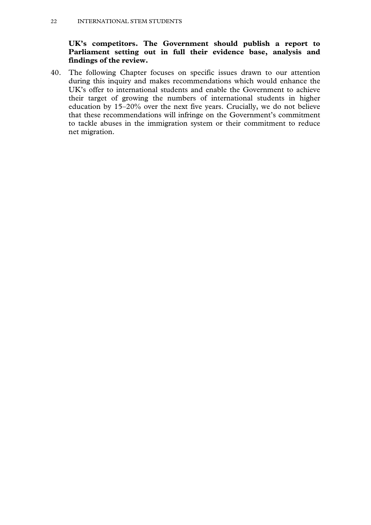# **UK's competitors. The Government should publish a report to Parliament setting out in full their evidence base, analysis and findings of the review.**

40. The following Chapter focuses on specific issues drawn to our attention during this inquiry and makes recommendations which would enhance the UK's offer to international students and enable the Government to achieve their target of growing the numbers of international students in higher education by 15–20% over the next five years. Crucially, we do not believe that these recommendations will infringe on the Government's commitment to tackle abuses in the immigration system or their commitment to reduce net migration.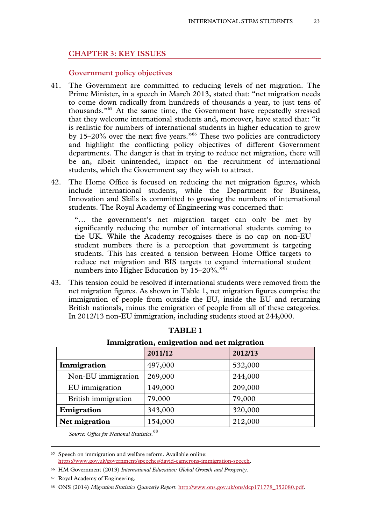#### **CHAPTER 3: KEY ISSUES**

#### **Government policy objectives**

- 41. The Government are committed to reducing levels of net migration. The Prime Minister, in a speech in March 2013, stated that: "net migration needs to come down radically from hundreds of thousands a year, to just tens of thousands."65 At the same time, the Government have repeatedly stressed that they welcome international students and, moreover, have stated that: "it is realistic for numbers of international students in higher education to grow by 15–20% over the next five years."<sup>66</sup> These two policies are contradictory and highlight the conflicting policy objectives of different Government departments. The danger is that in trying to reduce net migration, there will be an, albeit unintended, impact on the recruitment of international students, which the Government say they wish to attract.
- 42. The Home Office is focused on reducing the net migration figures, which include international students, while the Department for Business, Innovation and Skills is committed to growing the numbers of international students. The Royal Academy of Engineering was concerned that:

"… the government's net migration target can only be met by significantly reducing the number of international students coming to the UK. While the Academy recognises there is no cap on non-EU student numbers there is a perception that government is targeting students. This has created a tension between Home Office targets to reduce net migration and BIS targets to expand international student numbers into Higher Education by 15–20%."<sup>67</sup>

43. This tension could be resolved if international students were removed from the net migration figures. As shown in Table 1, net migration figures comprise the immigration of people from outside the EU, inside the EU and returning British nationals, minus the emigration of people from all of these categories. In 2012/13 non-EU immigration, including students stood at 244,000.

|                            | 2011/12 | ---------------<br>2012/13 |
|----------------------------|---------|----------------------------|
| Immigration                | 497,000 | 532,000                    |
| Non-EU immigration         | 269,000 | 244,000                    |
| EU immigration             | 149,000 | 209,000                    |
| <b>British immigration</b> | 79,000  | 79,000                     |
| Emigration                 | 343,000 | 320,000                    |
| <b>Net migration</b>       | 154,000 | 212,000                    |

#### **TABLE 1**

# **Immigration, emigration and net migration**

*Source: Office for National Statistics.*<sup>68</sup>

66 HM Government (2013) *International Education: Global Growth and Prosperity*.

 <sup>65</sup> Speech on immigration and welfare reform. Available online: https://www.gov.uk/government/speeches/david-camerons-immigration-speech.

<sup>67</sup> Royal Academy of Engineering.

<sup>68</sup> ONS (2014) *Migration Statistics Quarterly Report*. http://www.ons.gov.uk/ons/dcp171778\_352080.pdf.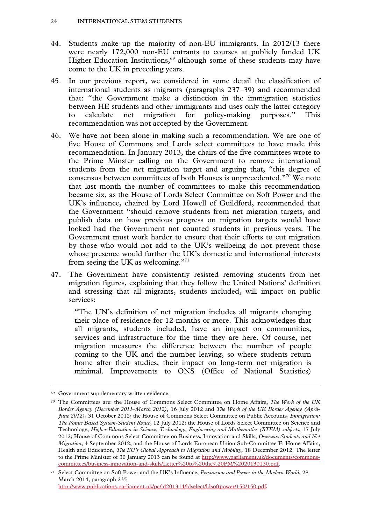- 44. Students make up the majority of non-EU immigrants. In 2012/13 there were nearly 172,000 non-EU entrants to courses at publicly funded UK Higher Education Institutions, $69$  although some of these students may have come to the UK in preceding years.
- 45. In our previous report, we considered in some detail the classification of international students as migrants (paragraphs 237–39) and recommended that: "the Government make a distinction in the immigration statistics between HE students and other immigrants and uses only the latter category to calculate net migration for policy-making purposes." This recommendation was not accepted by the Government.
- 46. We have not been alone in making such a recommendation. We are one of five House of Commons and Lords select committees to have made this recommendation. In January 2013, the chairs of the five committees wrote to the Prime Minster calling on the Government to remove international students from the net migration target and arguing that, "this degree of consensus between committees of both Houses is unprecedented."70 We note that last month the number of committees to make this recommendation became six, as the House of Lords Select Committee on Soft Power and the UK's influence, chaired by Lord Howell of Guildford, recommended that the Government "should remove students from net migration targets, and publish data on how previous progress on migration targets would have looked had the Government not counted students in previous years. The Government must work harder to ensure that their efforts to cut migration by those who would not add to the UK's wellbeing do not prevent those whose presence would further the UK's domestic and international interests from seeing the UK as welcoming."71
- 47. The Government have consistently resisted removing students from net migration figures, explaining that they follow the United Nations' definition and stressing that all migrants, students included, will impact on public services:

"The UN's definition of net migration includes all migrants changing their place of residence for 12 months or more. This acknowledges that all migrants, students included, have an impact on communities, services and infrastructure for the time they are here. Of course, net migration measures the difference between the number of people coming to the UK and the number leaving, so where students return home after their studies, their impact on long-term net migration is minimal. Improvements to ONS (Office of National Statistics)

 <sup>69</sup> Government supplementary written evidence.

<sup>70</sup> The Committees are: the House of Commons Select Committee on Home Affairs, *The Work of the UK Border Agency (December 2011–March 2012)*, 16 July 2012 and *The Work of the UK Border Agency (April-June 2012)*, 31 October 2012; the House of Commons Select Committee on Public Accounts, *Immigration: The Points Based System-Student Route*, 12 July 2012; the House of Lords Select Committee on Science and Technology, *Higher Education in Science, Technology, Engineering and Mathematics (STEM) subjects*, 17 July 2012; House of Commons Select Committee on Business, Innovation and Skills, *Overseas Students and Net Migration*, 4 September 2012; and the House of Lords European Union Sub-Committee F: Home Affairs, Health and Education, *The EU's Global Approach to Migration and Mobility*, 18 December 2012. The letter to the Prime Minister of 30 January 2013 can be found at http://www.parliament.uk/documents/commonscommittees/business-innovation-and-skills/Letter%20to%20the%20PM%2020130130.pdf.

<sup>71</sup> Select Committee on Soft Power and the UK's Influence, *Persuasion and Power in the Modern World*, 28 March 2014, paragraph 235

http://www.publications.parliament.uk/pa/ld201314/ldselect/ldsoftpower/150/150.pdf.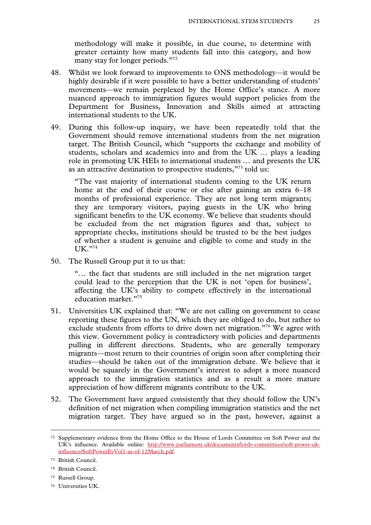methodology will make it possible, in due course, to determine with greater certainty how many students fall into this category, and how many stay for longer periods."<sup>72</sup>

- 48. Whilst we look forward to improvements to ONS methodology—it would be highly desirable if it were possible to have a better understanding of students' movements—we remain perplexed by the Home Office's stance. A more nuanced approach to immigration figures would support policies from the Department for Business, Innovation and Skills aimed at attracting international students to the UK.
- 49. During this follow-up inquiry, we have been repeatedly told that the Government should remove international students from the net migration target. The British Council, which "supports the exchange and mobility of students, scholars and academics into and from the UK … plays a leading role in promoting UK HEIs to international students … and presents the UK as an attractive destination to prospective students,"73 told us:

"The vast majority of international students coming to the UK return home at the end of their course or else after gaining an extra 6–18 months of professional experience. They are not long term migrants; they are temporary visitors, paying guests in the UK who bring significant benefits to the UK economy. We believe that students should be excluded from the net migration figures and that, subject to appropriate checks, institutions should be trusted to be the best judges of whether a student is genuine and eligible to come and study in the  $UK. "74"$ 

50. The Russell Group put it to us that:

"… the fact that students are still included in the net migration target could lead to the perception that the UK is not 'open for business', affecting the UK's ability to compete effectively in the international education market."75

- 51. Universities UK explained that: "We are not calling on government to cease reporting these figures to the UN, which they are obliged to do, but rather to exclude students from efforts to drive down net migration."<sup>76</sup> We agree with this view. Government policy is contradictory with policies and departments pulling in different directions. Students, who are generally temporary migrants—most return to their countries of origin soon after completing their studies—should be taken out of the immigration debate. We believe that it would be squarely in the Government's interest to adopt a more nuanced approach to the immigration statistics and as a result a more mature appreciation of how different migrants contribute to the UK.
- 52. The Government have argued consistently that they should follow the UN's definition of net migration when compiling immigration statistics and the net migration target. They have argued so in the past, however, against a

- 74 British Council.
- 75 Russell Group.
- 76 Universities UK.

 <sup>72</sup> Supplementary evidence from the Home Office to the House of Lords Committee on Soft Power and the UK's influence. Available online: http://www.parliament.uk/documents/lords-committees/soft-power-ukinfluence/SoftPowerEvVol1-as-of-12March.pdf.

<sup>73</sup> British Council.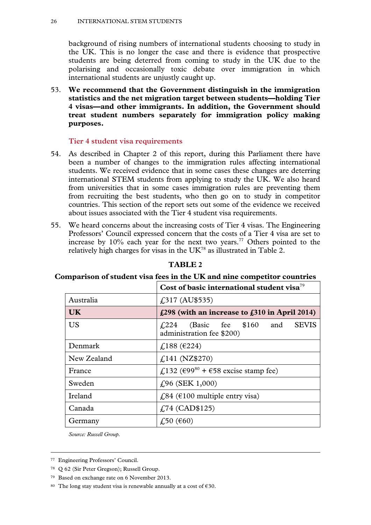#### 26 INTERNATIONAL STEM STUDENTS

background of rising numbers of international students choosing to study in the UK. This is no longer the case and there is evidence that prospective students are being deterred from coming to study in the UK due to the polarising and occasionally toxic debate over immigration in which international students are unjustly caught up.

53. **We recommend that the Government distinguish in the immigration statistics and the net migration target between students—holding Tier 4 visas—and other immigrants. In addition, the Government should treat student numbers separately for immigration policy making purposes.**

#### **Tier 4 student visa requirements**

- 54. As described in Chapter 2 of this report, during this Parliament there have been a number of changes to the immigration rules affecting international students. We received evidence that in some cases these changes are deterring international STEM students from applying to study the UK. We also heard from universities that in some cases immigration rules are preventing them from recruiting the best students, who then go on to study in competitor countries. This section of the report sets out some of the evidence we received about issues associated with the Tier 4 student visa requirements.
- 55. We heard concerns about the increasing costs of Tier 4 visas. The Engineering Professors' Council expressed concern that the costs of a Tier 4 visa are set to increase by  $10\%$  each year for the next two years.<sup>77</sup> Others pointed to the relatively high charges for visas in the  $UK^{78}$  as illustrated in Table 2.

|             | Cost of basic international student visa <sup>79</sup>                                      |  |
|-------------|---------------------------------------------------------------------------------------------|--|
| Australia   | $f(317 \text{ (AU$535)}$                                                                    |  |
| UK.         | $\text{\pounds}298$ (with an increase to $\text{\pounds}310$ in April 2014)                 |  |
| <b>US</b>   | <b>SEVIS</b><br>$\text{\textsterling}224$ (Basic fee \$160 and<br>administration fee \$200) |  |
| Denmark     | £188 (€224)                                                                                 |  |
| New Zealand | $f,141$ (NZ\$270)                                                                           |  |
| France      | £,132 (€99 <sup>80</sup> + €58 excise stamp fee)                                            |  |
| Sweden      | $f(96 \text{ (SEK } 1,000))$                                                                |  |
| Ireland     | £,84 (€100 multiple entry visa)                                                             |  |
| Canada      | $\text{\textsterling}74 \text{ (CAD$125)}$                                                  |  |
| Germany     | £,50 (\$60)                                                                                 |  |

**TABLE 2** 

# **Comparison of student visa fees in the UK and nine competitor countries**

*Source: Russell Group.* 

 <sup>77</sup> Engineering Professors' Council.

<sup>78</sup> Q 62 (Sir Peter Gregson); Russell Group.

<sup>79</sup> Based on exchange rate on 6 November 2013.

<sup>80</sup> The long stay student visa is renewable annually at a cost of  $\epsilon$ 30.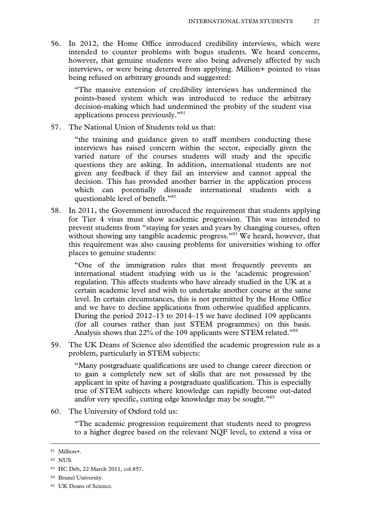56. In 2012, the Home Office introduced credibility interviews, which were intended to counter problems with bogus students. We heard concerns, however, that genuine students were also being adversely affected by such interviews, or were being deterred from applying. Million+ pointed to visas being refused on arbitrary grounds and suggested:

"The massive extension of credibility interviews has undermined the points-based system which was introduced to reduce the arbitrary decision-making which had undermined the probity of the student visa applications process previously."81

57. The National Union of Students told us that:

"the training and guidance given to staff members conducting these interviews has raised concern within the sector, especially given the varied nature of the courses students will study and the specific questions they are asking. In addition, international students are not given any feedback if they fail an interview and cannot appeal the decision. This has provided another barrier in the application process which can potentially dissuade international students with a questionable level of benefit."<sup>82</sup>

58. In 2011, the Government introduced the requirement that students applying for Tier 4 visas must show academic progression. This was intended to prevent students from "staying for years and years by changing courses, often without showing any tangible academic progress."<sup>83</sup> We heard, however, that this requirement was also causing problems for universities wishing to offer places to genuine students:

"One of the immigration rules that most frequently prevents an international student studying with us is the 'academic progression' regulation. This affects students who have already studied in the UK at a certain academic level and wish to undertake another course at the same level. In certain circumstances, this is not permitted by the Home Office and we have to decline applications from otherwise qualified applicants. During the period 2012–13 to 2014–15 we have declined 109 applicants (for all courses rather than just STEM programmes) on this basis. Analysis shows that 22% of the 109 applicants were STEM related."<sup>84</sup>

59. The UK Deans of Science also identified the academic progression rule as a problem, particularly in STEM subjects:

"Many postgraduate qualifications are used to change career direction or to gain a completely new set of skills that are not possessed by the applicant in spite of having a postgraduate qualification. This is especially true of STEM subjects where knowledge can rapidly become out-dated and/or very specific, cutting edge knowledge may be sought."85

60. The University of Oxford told us:

"The academic progression requirement that students need to progress to a higher degree based on the relevant NQF level, to extend a visa or

 <sup>81</sup> Million+.

<sup>82</sup> NUS.

<sup>83</sup> HC Deb, 22 March 2011, col.857.

<sup>84</sup> Brunel University.

<sup>85</sup> UK Deans of Science.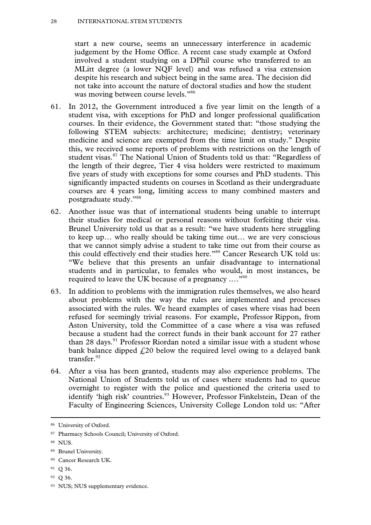#### 28 INTERNATIONAL STEM STUDENTS

start a new course, seems an unnecessary interference in academic judgement by the Home Office. A recent case study example at Oxford involved a student studying on a DPhil course who transferred to an MLitt degree (a lower NQF level) and was refused a visa extension despite his research and subject being in the same area. The decision did not take into account the nature of doctoral studies and how the student was moving between course levels."86

- 61. In 2012, the Government introduced a five year limit on the length of a student visa, with exceptions for PhD and longer professional qualification courses. In their evidence, the Government stated that: "those studying the following STEM subjects: architecture; medicine; dentistry; veterinary medicine and science are exempted from the time limit on study." Despite this, we received some reports of problems with restrictions on the length of student visas.<sup>87</sup> The National Union of Students told us that: "Regardless of the length of their degree, Tier 4 visa holders were restricted to maximum five years of study with exceptions for some courses and PhD students. This significantly impacted students on courses in Scotland as their undergraduate courses are 4 years long, limiting access to many combined masters and postgraduate study."88
- 62. Another issue was that of international students being unable to interrupt their studies for medical or personal reasons without forfeiting their visa. Brunel University told us that as a result: "we have students here struggling to keep up… who really should be taking time out… we are very conscious that we cannot simply advise a student to take time out from their course as this could effectively end their studies here."89 Cancer Research UK told us: "We believe that this presents an unfair disadvantage to international students and in particular, to females who would, in most instances, be required to leave the UK because of a pregnancy ...."<sup>90</sup>
- 63. In addition to problems with the immigration rules themselves, we also heard about problems with the way the rules are implemented and processes associated with the rules. We heard examples of cases where visas had been refused for seemingly trivial reasons. For example, Professor Rippon, from Aston University, told the Committee of a case where a visa was refused because a student had the correct funds in their bank account for 27 rather than 28 days.<sup>91</sup> Professor Riordan noted a similar issue with a student whose bank balance dipped  $\dot{\mathcal{L}}$  20 below the required level owing to a delayed bank transfer $^{92}$
- 64. After a visa has been granted, students may also experience problems. The National Union of Students told us of cases where students had to queue overnight to register with the police and questioned the criteria used to identify 'high risk' countries.<sup>93</sup> However, Professor Finkelstein, Dean of the Faculty of Engineering Sciences, University College London told us: "After

- 91 Q 36.
- 92 Q 36.
- 93 NUS; NUS supplementary evidence.

 <sup>86</sup> University of Oxford.

<sup>87</sup> Pharmacy Schools Council; University of Oxford.

<sup>88</sup> NUS.

<sup>89</sup> Brunel University.

<sup>90</sup> Cancer Research UK.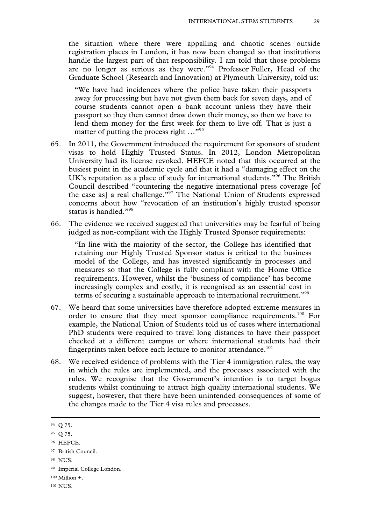the situation where there were appalling and chaotic scenes outside registration places in London, it has now been changed so that institutions handle the largest part of that responsibility. I am told that those problems are no longer as serious as they were."<sup>94</sup> Professor Fuller, Head of the Graduate School (Research and Innovation) at Plymouth University, told us:

"We have had incidences where the police have taken their passports away for processing but have not given them back for seven days, and of course students cannot open a bank account unless they have their passport so they then cannot draw down their money, so then we have to lend them money for the first week for them to live off. That is just a matter of putting the process right ..."<sup>95</sup>

- 65. In 2011, the Government introduced the requirement for sponsors of student visas to hold Highly Trusted Status. In 2012, London Metropolitan University had its license revoked. HEFCE noted that this occurred at the busiest point in the academic cycle and that it had a "damaging effect on the UK's reputation as a place of study for international students."96 The British Council described "countering the negative international press coverage [of the case as] a real challenge."97 The National Union of Students expressed concerns about how "revocation of an institution's highly trusted sponsor status is handled."<sup>98</sup>
- 66. The evidence we received suggested that universities may be fearful of being judged as non-compliant with the Highly Trusted Sponsor requirements:

"In line with the majority of the sector, the College has identified that retaining our Highly Trusted Sponsor status is critical to the business model of the College, and has invested significantly in processes and measures so that the College is fully compliant with the Home Office requirements. However, whilst the 'business of compliance' has become increasingly complex and costly, it is recognised as an essential cost in terms of securing a sustainable approach to international recruitment."99

- 67. We heard that some universities have therefore adopted extreme measures in order to ensure that they meet sponsor compliance requirements.<sup>100</sup> For example, the National Union of Students told us of cases where international PhD students were required to travel long distances to have their passport checked at a different campus or where international students had their fingerprints taken before each lecture to monitor attendance.<sup>101</sup>
- 68. We received evidence of problems with the Tier 4 immigration rules, the way in which the rules are implemented, and the processes associated with the rules. We recognise that the Government's intention is to target bogus students whilst continuing to attract high quality international students. We suggest, however, that there have been unintended consequences of some of the changes made to the Tier 4 visa rules and processes.

 <sup>94</sup> Q 75.

<sup>95</sup> Q 75.

<sup>96</sup> HEFCE.

<sup>97</sup> British Council.

<sup>98</sup> NUS.

<sup>99</sup> Imperial College London.

<sup>100</sup> Million +.

<sup>101</sup> NUS.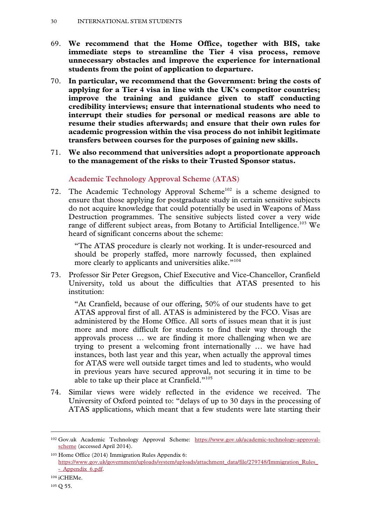- 69. **We recommend that the Home Office, together with BIS, take immediate steps to streamline the Tier 4 visa process, remove unnecessary obstacles and improve the experience for international students from the point of application to departure.**
- 70. **In particular, we recommend that the Government: bring the costs of applying for a Tier 4 visa in line with the UK's competitor countries; improve the training and guidance given to staff conducting credibility interviews; ensure that international students who need to interrupt their studies for personal or medical reasons are able to resume their studies afterwards; and ensure that their own rules for academic progression within the visa process do not inhibit legitimate transfers between courses for the purposes of gaining new skills.**
- 71. **We also recommend that universities adopt a proportionate approach to the management of the risks to their Trusted Sponsor status.**

**Academic Technology Approval Scheme (ATAS)** 

72. The Academic Technology Approval Scheme<sup>102</sup> is a scheme designed to ensure that those applying for postgraduate study in certain sensitive subjects do not acquire knowledge that could potentially be used in Weapons of Mass Destruction programmes. The sensitive subjects listed cover a very wide range of different subject areas, from Botany to Artificial Intelligence.<sup>103</sup> We heard of significant concerns about the scheme:

"The ATAS procedure is clearly not working. It is under-resourced and should be properly staffed, more narrowly focussed, then explained more clearly to applicants and universities alike."<sup>104</sup>

73. Professor Sir Peter Gregson, Chief Executive and Vice-Chancellor, Cranfield University, told us about the difficulties that ATAS presented to his institution:

"At Cranfield, because of our offering, 50% of our students have to get ATAS approval first of all. ATAS is administered by the FCO. Visas are administered by the Home Office. All sorts of issues mean that it is just more and more difficult for students to find their way through the approvals process … we are finding it more challenging when we are trying to present a welcoming front internationally … we have had instances, both last year and this year, when actually the approval times for ATAS were well outside target times and led to students, who would in previous years have secured approval, not securing it in time to be able to take up their place at Cranfield."105

74. Similar views were widely reflected in the evidence we received. The University of Oxford pointed to: "delays of up to 30 days in the processing of ATAS applications, which meant that a few students were late starting their

 <sup>102</sup> Gov.uk Academic Technology Approval Scheme: https://www.gov.uk/academic-technology-approvalscheme (accessed April 2014).

<sup>103</sup> Home Office (2014) Immigration Rules Appendix 6: https://www.gov.uk/government/uploads/system/uploads/attachment\_data/file/279748/Immigration\_Rules\_ - Appendix 6.pdf.

<sup>104</sup> iCHEMe.

<sup>105</sup> Q 55.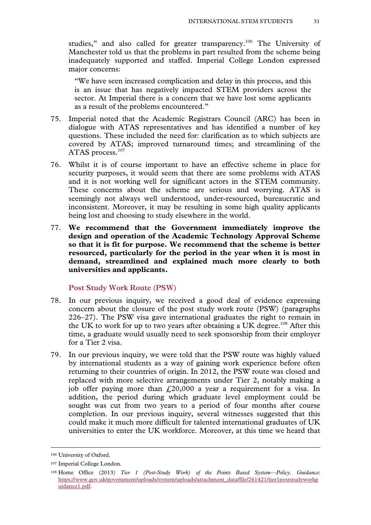studies," and also called for greater transparency.<sup>106</sup> The University of Manchester told us that the problems in part resulted from the scheme being inadequately supported and staffed. Imperial College London expressed major concerns:

"We have seen increased complication and delay in this process, and this is an issue that has negatively impacted STEM providers across the sector. At Imperial there is a concern that we have lost some applicants as a result of the problems encountered."

- 75. Imperial noted that the Academic Registrars Council (ARC) has been in dialogue with ATAS representatives and has identified a number of key questions. These included the need for: clarification as to which subjects are covered by ATAS; improved turnaround times; and streamlining of the ATAS process.<sup>107</sup>
- 76. Whilst it is of course important to have an effective scheme in place for security purposes, it would seem that there are some problems with ATAS and it is not working well for significant actors in the STEM community. These concerns about the scheme are serious and worrying. ATAS is seemingly not always well understood, under-resourced, bureaucratic and inconsistent. Moreover, it may be resulting in some high quality applicants being lost and choosing to study elsewhere in the world.
- 77. **We recommend that the Government immediately improve the design and operation of the Academic Technology Approval Scheme so that it is fit for purpose. We recommend that the scheme is better resourced, particularly for the period in the year when it is most in demand, streamlined and explained much more clearly to both universities and applicants.**

#### **Post Study Work Route (PSW)**

- 78. In our previous inquiry, we received a good deal of evidence expressing concern about the closure of the post study work route (PSW) (paragraphs 226–27). The PSW visa gave international graduates the right to remain in the UK to work for up to two years after obtaining a UK degree.<sup>108</sup> After this time, a graduate would usually need to seek sponsorship from their employer for a Tier 2 visa.
- 79. In our previous inquiry, we were told that the PSW route was highly valued by international students as a way of gaining work experience before often returning to their countries of origin. In 2012, the PSW route was closed and replaced with more selective arrangements under Tier 2, notably making a job offer paying more than  $f(20,000)$  a year a requirement for a visa. In addition, the period during which graduate level employment could be sought was cut from two years to a period of four months after course completion. In our previous inquiry, several witnesses suggested that this could make it much more difficult for talented international graduates of UK universities to enter the UK workforce. Moreover, at this time we heard that

 <sup>106</sup> University of Oxford.

<sup>107</sup> Imperial College London.

<sup>108</sup> Home Office (2013) *Tier 1 (Post-Study Work) of the Points Based System—Policy. Guidance*: https://www.gov.uk/government/uploads/system/uploads/attachment\_data/file/261421/tier1poststudyworkg uidance1.pdf.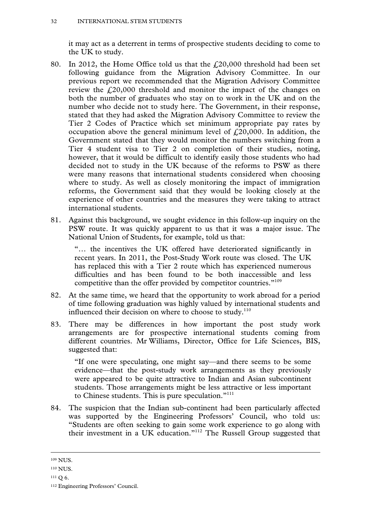it may act as a deterrent in terms of prospective students deciding to come to the UK to study.

- 80. In 2012, the Home Office told us that the  $\text{\textsterling}20,000$  threshold had been set following guidance from the Migration Advisory Committee. In our previous report we recommended that the Migration Advisory Committee review the  $f<sub>1</sub>(20,000)$  threshold and monitor the impact of the changes on both the number of graduates who stay on to work in the UK and on the number who decide not to study here. The Government, in their response, stated that they had asked the Migration Advisory Committee to review the Tier 2 Codes of Practice which set minimum appropriate pay rates by occupation above the general minimum level of  $f<sub>1</sub>(20,000)$ . In addition, the Government stated that they would monitor the numbers switching from a Tier 4 student visa to Tier 2 on completion of their studies, noting, however, that it would be difficult to identify easily those students who had decided not to study in the UK because of the reforms to PSW as there were many reasons that international students considered when choosing where to study. As well as closely monitoring the impact of immigration reforms, the Government said that they would be looking closely at the experience of other countries and the measures they were taking to attract international students.
- 81. Against this background, we sought evidence in this follow-up inquiry on the PSW route. It was quickly apparent to us that it was a major issue. The National Union of Students, for example, told us that:

"… the incentives the UK offered have deteriorated significantly in recent years. In 2011, the Post-Study Work route was closed. The UK has replaced this with a Tier 2 route which has experienced numerous difficulties and has been found to be both inaccessible and less competitive than the offer provided by competitor countries."<sup>109</sup>

- 82. At the same time, we heard that the opportunity to work abroad for a period of time following graduation was highly valued by international students and influenced their decision on where to choose to study. $110$
- 83. There may be differences in how important the post study work arrangements are for prospective international students coming from different countries. Mr Williams, Director, Office for Life Sciences, BIS, suggested that:

"If one were speculating, one might say—and there seems to be some evidence—that the post-study work arrangements as they previously were appeared to be quite attractive to Indian and Asian subcontinent students. Those arrangements might be less attractive or less important to Chinese students. This is pure speculation."111

84. The suspicion that the Indian sub-continent had been particularly affected was supported by the Engineering Professors' Council, who told us: "Students are often seeking to gain some work experience to go along with their investment in a UK education."112 The Russell Group suggested that

 <sup>109</sup> NUS.

<sup>110</sup> NUS.

<sup>111</sup> Q 6.

<sup>112</sup> Engineering Professors' Council.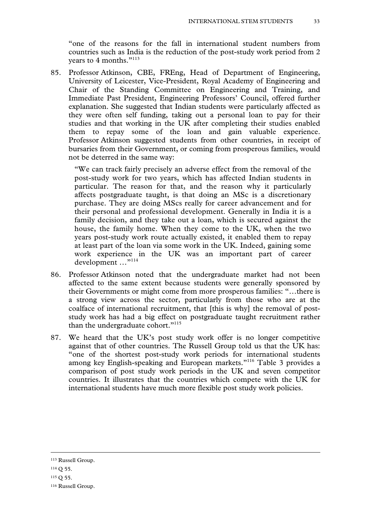"one of the reasons for the fall in international student numbers from countries such as India is the reduction of the post-study work period from 2 years to 4 months."113

85. Professor Atkinson, CBE, FREng, Head of Department of Engineering, University of Leicester, Vice-President, Royal Academy of Engineering and Chair of the Standing Committee on Engineering and Training, and Immediate Past President, Engineering Professors' Council, offered further explanation. She suggested that Indian students were particularly affected as they were often self funding, taking out a personal loan to pay for their studies and that working in the UK after completing their studies enabled them to repay some of the loan and gain valuable experience. Professor Atkinson suggested students from other countries, in receipt of bursaries from their Government, or coming from prosperous families, would not be deterred in the same way:

"We can track fairly precisely an adverse effect from the removal of the post-study work for two years, which has affected Indian students in particular. The reason for that, and the reason why it particularly affects postgraduate taught, is that doing an MSc is a discretionary purchase. They are doing MScs really for career advancement and for their personal and professional development. Generally in India it is a family decision, and they take out a loan, which is secured against the house, the family home. When they come to the UK, when the two years post-study work route actually existed, it enabled them to repay at least part of the loan via some work in the UK. Indeed, gaining some work experience in the UK was an important part of career development …"114

- 86. Professor Atkinson noted that the undergraduate market had not been affected to the same extent because students were generally sponsored by their Governments or might come from more prosperous families: "…there is a strong view across the sector, particularly from those who are at the coalface of international recruitment, that [this is why] the removal of poststudy work has had a big effect on postgraduate taught recruitment rather than the undergraduate cohort."<sup>115</sup>
- 87. We heard that the UK's post study work offer is no longer competitive against that of other countries. The Russell Group told us that the UK has: "one of the shortest post-study work periods for international students among key English-speaking and European markets."116 Table 3 provides a comparison of post study work periods in the UK and seven competitor countries. It illustrates that the countries which compete with the UK for international students have much more flexible post study work policies.

115 Q 55.

 <sup>113</sup> Russell Group.

<sup>114</sup> Q 55.

<sup>116</sup> Russell Group.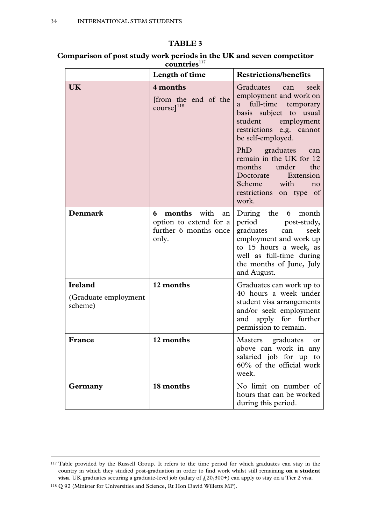#### **TABLE 3**

**Comparison of post study work periods in the UK and seven competitor**  countries<sup>117</sup>

|                                                   | Length of time                                                                            | <b>Restrictions/benefits</b>                                                                                                                                                                                                                                                                                                                                                                                                                                                |
|---------------------------------------------------|-------------------------------------------------------------------------------------------|-----------------------------------------------------------------------------------------------------------------------------------------------------------------------------------------------------------------------------------------------------------------------------------------------------------------------------------------------------------------------------------------------------------------------------------------------------------------------------|
| UK                                                | 4 months<br>from the end of the<br>$course$ <sup>118</sup>                                | Graduates<br>seek<br>can<br>employment and work on<br>full-time temporary<br>a<br>basis subject to usual<br>student<br>employment<br>restrictions e.g. cannot<br>be self-employed.<br>PhD graduates<br>can<br>remain in the UK for 12<br>the<br>months<br>under<br><b>Contract Contract Contract Contract Contract Contract Contract Contract Contract Contract Contract Contract Co</b><br>Doctorate<br>Extension<br>Scheme with<br>no<br>restrictions on type of<br>work. |
| <b>Denmark</b>                                    | <b>months</b> with<br>6<br>an<br>option to extend for a<br>further 6 months once<br>only. | During the<br>6<br>month<br>period<br>post-study,<br>graduates<br>seek<br>can<br>employment and work up<br>to 15 hours a week, as<br>well as full-time during<br>the months of June, July<br>and August.                                                                                                                                                                                                                                                                    |
| <b>Ireland</b><br>(Graduate employment<br>scheme) | 12 months                                                                                 | Graduates can work up to<br>40 hours a week under<br>student visa arrangements<br>and/or seek employment<br>and apply for further<br>permission to remain.                                                                                                                                                                                                                                                                                                                  |
| France                                            | 12 months                                                                                 | graduates<br>Masters<br>or<br>above can work in any<br>salaried job for up to<br>$60\%$ of the official work<br>week.                                                                                                                                                                                                                                                                                                                                                       |
| Germany                                           | 18 months                                                                                 | No limit on number of<br>hours that can be worked<br>during this period.                                                                                                                                                                                                                                                                                                                                                                                                    |

<sup>&</sup>lt;sup>117</sup> Table provided by the Russell Group. It refers to the time period for which graduates can stay in the country in which they studied post-graduation in order to find work whilst still remaining **on a student visa**. UK graduates securing a graduate-level job (salary of  $\text{\textsterling}20,300+$ ) can apply to stay on a Tier 2 visa.

<sup>118</sup> Q 92 (Minister for Universities and Science, Rt Hon David Willetts MP).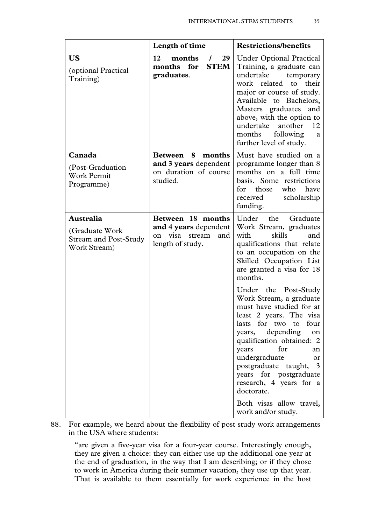| Length of time                                                                             | <b>Restrictions/benefits</b>                                                                                                                                                                                                                                                                                                                                                                           |
|--------------------------------------------------------------------------------------------|--------------------------------------------------------------------------------------------------------------------------------------------------------------------------------------------------------------------------------------------------------------------------------------------------------------------------------------------------------------------------------------------------------|
| 12<br>months<br>29<br>$\prime$<br>months for<br><b>STEM</b><br>graduates.                  | <b>Under Optional Practical</b><br>Training, a graduate can<br>undertake<br>temporary<br>work related<br>their<br>to<br>major or course of study.<br>Available to Bachelors,<br>Masters graduates<br>and<br>above, with the option to<br>undertake<br>another<br>12<br>following<br>months<br>a<br>further level of study.                                                                             |
| 8<br>months<br>Between<br>and 3 years dependent<br>on duration of course<br>studied.       | Must have studied on a<br>programme longer than 8<br>months on a full time<br>basis. Some restrictions<br>those<br>who<br>for<br>have<br>received<br>scholarship<br>funding.                                                                                                                                                                                                                           |
| Between 18 months<br>and 4 years dependent<br>on visa<br>stream<br>and<br>length of study. | Under<br>the<br>Graduate<br>Work Stream, graduates<br>with<br>skills<br>and<br>qualifications that relate<br>to an occupation on the<br>Skilled Occupation List<br>are granted a visa for 18<br>months.                                                                                                                                                                                                |
|                                                                                            | Under the Post-Study<br>Work Stream, a graduate<br>must have studied for at<br>least 2 years. The visa<br>for two<br>four<br>lasts<br>to<br>years, depending<br>on<br>qualification obtained: 2<br>for<br>years<br>an<br>undergraduate<br><sub>or</sub><br>postgraduate taught, 3<br>years for postgraduate<br>research, 4 years for a<br>doctorate.<br>Both visas allow travel,<br>work and/or study. |
|                                                                                            |                                                                                                                                                                                                                                                                                                                                                                                                        |

88. For example, we heard about the flexibility of post study work arrangements in the USA where students:

"are given a five-year visa for a four-year course. Interestingly enough, they are given a choice: they can either use up the additional one year at the end of graduation, in the way that I am describing; or if they chose to work in America during their summer vacation, they use up that year. That is available to them essentially for work experience in the host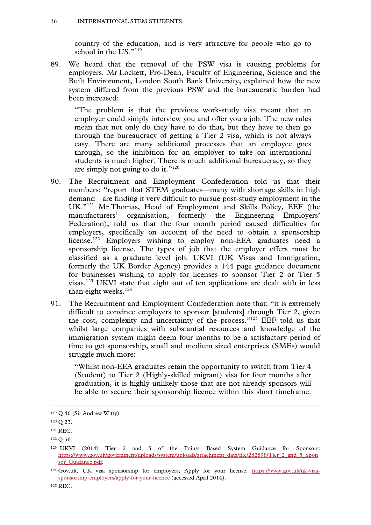country of the education, and is very attractive for people who go to school in the US."119

89. We heard that the removal of the PSW visa is causing problems for employers. Mr Lockett, Pro-Dean, Faculty of Engineering, Science and the Built Environment, London South Bank University, explained how the new system differed from the previous PSW and the bureaucratic burden had been increased:

"The problem is that the previous work-study visa meant that an employer could simply interview you and offer you a job. The new rules mean that not only do they have to do that, but they have to then go through the bureaucracy of getting a Tier 2 visa, which is not always easy. There are many additional processes that an employee goes through, so the inhibition for an employer to take on international students is much higher. There is much additional bureaucracy, so they are simply not going to do it."<sup>120</sup>

- 90. The Recruitment and Employment Confederation told us that their members: "report that STEM graduates—many with shortage skills in high demand—are finding it very difficult to pursue post-study employment in the UK."121 Mr Thomas, Head of Employment and Skills Policy, EEF (the manufacturers' organisation, formerly the Engineering Employers' Federation), told us that the four month period caused difficulties for employers, specifically on account of the need to obtain a sponsorship license.<sup>122</sup> Employers wishing to employ non-EEA graduates need a sponsorship license. The types of job that the employer offers must be classified as a graduate level job. UKVI (UK Visas and Immigration, formerly the UK Border Agency) provides a 144 page guidance document for businesses wishing to apply for licenses to sponsor Tier 2 or Tier 5 visas.123 UKVI state that eight out of ten applications are dealt with in less than eight weeks.<sup>124</sup>
- 91. The Recruitment and Employment Confederation note that: "it is extremely difficult to convince employers to sponsor [students] through Tier 2, given the cost, complexity and uncertainty of the process."125 EEF told us that whilst large companies with substantial resources and knowledge of the immigration system might deem four months to be a satisfactory period of time to get sponsorship, small and medium sized enterprises (SMEs) would struggle much more:

"Whilst non-EEA graduates retain the opportunity to switch from Tier 4 (Student) to Tier 2 (Highly-skilled migrant) visa for four months after graduation, it is highly unlikely those that are not already sponsors will be able to secure their sponsorship licence within this short timeframe.

125 REC.

 <sup>119</sup> Q 46 (Sir Andrew Witty).

<sup>120</sup> Q 23.

<sup>121</sup> REC.

<sup>122</sup> Q 56.

<sup>123</sup> UKVI (2014) Tier 2 and 5 of the Points Based System Guidance for Sponsors: https://www.gov.uk/government/uploads/system/uploads/attachment\_data/file/282898/Tier\_2\_and\_5\_Spon sor\_Guidance.pdf.

<sup>124</sup> Gov.uk, UK visa sponsorship for employers; Apply for your license: https://www.gov.uk/uk-visasponsorship-employers/apply-for-your-licence (accessed April 2014).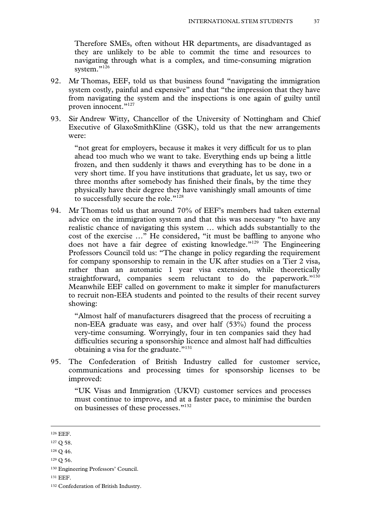Therefore SMEs, often without HR departments, are disadvantaged as they are unlikely to be able to commit the time and resources to navigating through what is a complex, and time-consuming migration system."<sup>126</sup>

- 92. Mr Thomas, EEF, told us that business found "navigating the immigration system costly, painful and expensive" and that "the impression that they have from navigating the system and the inspections is one again of guilty until proven innocent."127
- 93. Sir Andrew Witty, Chancellor of the University of Nottingham and Chief Executive of GlaxoSmithKline (GSK), told us that the new arrangements were:

"not great for employers, because it makes it very difficult for us to plan ahead too much who we want to take. Everything ends up being a little frozen, and then suddenly it thaws and everything has to be done in a very short time. If you have institutions that graduate, let us say, two or three months after somebody has finished their finals, by the time they physically have their degree they have vanishingly small amounts of time to successfully secure the role."<sup>128</sup>

94. Mr Thomas told us that around 70% of EEF's members had taken external advice on the immigration system and that this was necessary "to have any realistic chance of navigating this system … which adds substantially to the cost of the exercise …" He considered, "it must be baffling to anyone who does not have a fair degree of existing knowledge."129 The Engineering Professors Council told us: "The change in policy regarding the requirement for company sponsorship to remain in the UK after studies on a Tier 2 visa, rather than an automatic 1 year visa extension, while theoretically straightforward, companies seem reluctant to do the paperwork." $130$ Meanwhile EEF called on government to make it simpler for manufacturers to recruit non-EEA students and pointed to the results of their recent survey showing:

"Almost half of manufacturers disagreed that the process of recruiting a non-EEA graduate was easy, and over half (53%) found the process very-time consuming. Worryingly, four in ten companies said they had difficulties securing a sponsorship licence and almost half had difficulties obtaining a visa for the graduate."<sup>131</sup>

95. The Confederation of British Industry called for customer service, communications and processing times for sponsorship licenses to be improved:

"UK Visas and Immigration (UKVI) customer services and processes must continue to improve, and at a faster pace, to minimise the burden on businesses of these processes."132

 <sup>126</sup> EEF.

<sup>127</sup> Q 58.

<sup>128</sup> Q 46.

<sup>129</sup> Q 56.

<sup>130</sup> Engineering Professors' Council.

<sup>131</sup> EEF.

<sup>132</sup> Confederation of British Industry.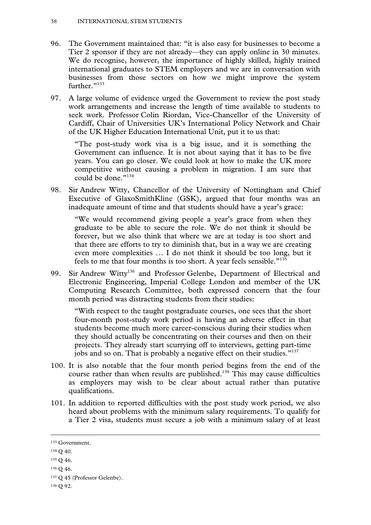- 96. The Government maintained that: "it is also easy for businesses to become a Tier 2 sponsor if they are not already—they can apply online in 30 minutes. We do recognise, however, the importance of highly skilled, highly trained international graduates to STEM employers and we are in conversation with businesses from those sectors on how we might improve the system further."133
- 97. A large volume of evidence urged the Government to review the post study work arrangements and increase the length of time available to students to seek work. Professor Colin Riordan, Vice-Chancellor of the University of Cardiff, Chair of Universities UK's International Policy Network and Chair of the UK Higher Education International Unit, put it to us that:

"The post-study work visa is a big issue, and it is something the Government can influence. It is not about saying that it has to be five years. You can go closer. We could look at how to make the UK more competitive without causing a problem in migration. I am sure that could be done."<sup>134</sup>

98. Sir Andrew Witty, Chancellor of the University of Nottingham and Chief Executive of GlaxoSmithKline (GSK), argued that four months was an inadequate amount of time and that students should have a year's grace:

"We would recommend giving people a year's grace from when they graduate to be able to secure the role. We do not think it should be forever, but we also think that where we are at today is too short and that there are efforts to try to diminish that, but in a way we are creating even more complexities … I do not think it should be too long, but it feels to me that four months is too short. A year feels sensible."135

99. Sir Andrew Witty<sup>136</sup> and Professor Gelenbe, Department of Electrical and Electronic Engineering, Imperial College London and member of the UK Computing Research Committee, both expressed concern that the four month period was distracting students from their studies:

"With respect to the taught postgraduate courses, one sees that the short four-month post-study work period is having an adverse effect in that students become much more career-conscious during their studies when they should actually be concentrating on their courses and then on their projects. They already start scurrying off to interviews, getting part-time jobs and so on. That is probably a negative effect on their studies."<sup>137</sup>

- 100. It is also notable that the four month period begins from the end of the course rather than when results are published.<sup>138</sup> This may cause difficulties as employers may wish to be clear about actual rather than putative qualifications.
- 101. In addition to reported difficulties with the post study work period, we also heard about problems with the minimum salary requirements. To qualify for a Tier 2 visa, students must secure a job with a minimum salary of at least

 <sup>133</sup> Government.

<sup>134</sup> Q 40.

<sup>135</sup> Q 46.

 $136 \Omega$  46.

<sup>137</sup> Q 45 (Professor Gelenbe).

<sup>138</sup> Q 92.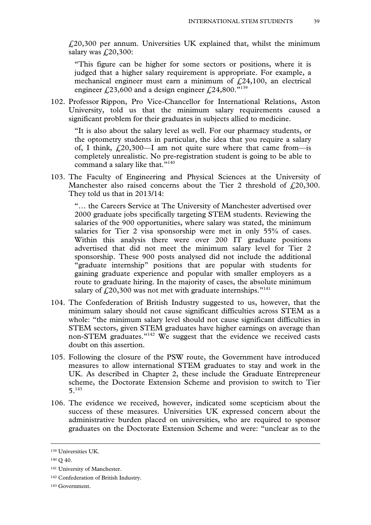$\text{\emph{1}}20,300$  per annum. Universities UK explained that, whilst the minimum salary was  $f(20,300)$ :

"This figure can be higher for some sectors or positions, where it is judged that a higher salary requirement is appropriate. For example, a mechanical engineer must earn a minimum of  $f<sub>1</sub>(24,100)$ , an electrical engineer £23,600 and a design engineer £24,800."<sup>139</sup>

102. Professor Rippon, Pro Vice-Chancellor for International Relations, Aston University, told us that the minimum salary requirements caused a significant problem for their graduates in subjects allied to medicine.

"It is also about the salary level as well. For our pharmacy students, or the optometry students in particular, the idea that you require a salary of, I think,  $\ell$  20,300—I am not quite sure where that came from—is completely unrealistic. No pre-registration student is going to be able to command a salary like that."<sup>140</sup>

103. The Faculty of Engineering and Physical Sciences at the University of Manchester also raised concerns about the Tier 2 threshold of  $\text{\textsterling}20,300$ . They told us that in 2013/14:

"… the Careers Service at The University of Manchester advertised over 2000 graduate jobs specifically targeting STEM students. Reviewing the salaries of the 900 opportunities, where salary was stated, the minimum salaries for Tier 2 visa sponsorship were met in only 55% of cases. Within this analysis there were over 200 IT graduate positions advertised that did not meet the minimum salary level for Tier 2 sponsorship. These 900 posts analysed did not include the additional "graduate internship" positions that are popular with students for gaining graduate experience and popular with smaller employers as a route to graduate hiring. In the majority of cases, the absolute minimum salary of  $\text{\textsterling}20,300$  was not met with graduate internships."<sup>141</sup>

- 104. The Confederation of British Industry suggested to us, however, that the minimum salary should not cause significant difficulties across STEM as a whole: "the minimum salary level should not cause significant difficulties in STEM sectors, given STEM graduates have higher earnings on average than non-STEM graduates."142 We suggest that the evidence we received casts doubt on this assertion.
- 105. Following the closure of the PSW route, the Government have introduced measures to allow international STEM graduates to stay and work in the UK. As described in Chapter 2, these include the Graduate Entrepreneur scheme, the Doctorate Extension Scheme and provision to switch to Tier 5.143
- 106. The evidence we received, however, indicated some scepticism about the success of these measures. Universities UK expressed concern about the administrative burden placed on universities, who are required to sponsor graduates on the Doctorate Extension Scheme and were: "unclear as to the

 <sup>139</sup> Universities UK.

<sup>&</sup>lt;sup>140</sup> O 40.

<sup>141</sup> University of Manchester.

<sup>142</sup> Confederation of British Industry.

<sup>143</sup> Government.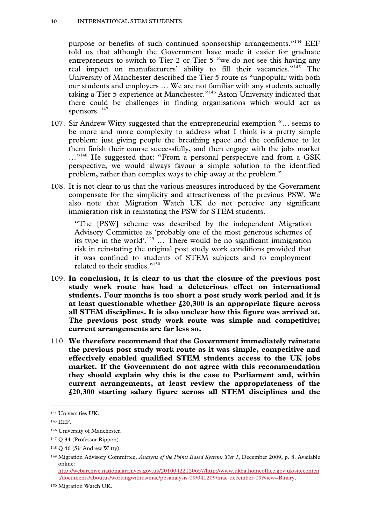purpose or benefits of such continued sponsorship arrangements."<sup>144</sup> EEF told us that although the Government have made it easier for graduate entrepreneurs to switch to Tier 2 or Tier 5 "we do not see this having any real impact on manufacturers' ability to fill their vacancies."<sup>145</sup> The University of Manchester described the Tier 5 route as "unpopular with both our students and employers … We are not familiar with any students actually taking a Tier 5 experience at Manchester."146 Aston University indicated that there could be challenges in finding organisations which would act as sponsors.  $147$ 

- 107. Sir Andrew Witty suggested that the entrepreneurial exemption "… seems to be more and more complexity to address what I think is a pretty simple problem: just giving people the breathing space and the confidence to let them finish their course successfully, and then engage with the jobs market ..."<sup>148</sup> He suggested that: "From a personal perspective and from a GSK perspective, we would always favour a simple solution to the identified problem, rather than complex ways to chip away at the problem."
- 108. It is not clear to us that the various measures introduced by the Government compensate for the simplicity and attractiveness of the previous PSW. We also note that Migration Watch UK do not perceive any significant immigration risk in reinstating the PSW for STEM students.

"The [PSW] scheme was described by the independent Migration Advisory Committee as 'probably one of the most generous schemes of its type in the world'.149 … There would be no significant immigration risk in reinstating the original post study work conditions provided that it was confined to students of STEM subjects and to employment related to their studies."<sup>150</sup>

- 109. **In conclusion, it is clear to us that the closure of the previous post study work route has had a deleterious effect on international students. Four months is too short a post study work period and it is at least questionable whether £20,300 is an appropriate figure across all STEM disciplines. It is also unclear how this figure was arrived at. The previous post study work route was simple and competitive; current arrangements are far less so.**
- 110. **We therefore recommend that the Government immediately reinstate the previous post study work route as it was simple, competitive and effectively enabled qualified STEM students access to the UK jobs market. If the Government do not agree with this recommendation they should explain why this is the case to Parliament and, within current arrangements, at least review the appropriateness of the £20,300 starting salary figure across all STEM disciplines and the**

 <sup>144</sup> Universities UK.

<sup>145</sup> EEF.

<sup>146</sup> University of Manchester.

<sup>147</sup> Q 34 (Professor Rippon).

<sup>148</sup> Q 46 (Sir Andrew Witty).

<sup>149</sup> Migration Advisory Committee, *Analysis of the Points Based System: Tier 1*, December 2009, p. 8. Available online:

http://webarchive.nationalarchives.gov.uk/20100422120657/http://www.ukba.homeoffice.gov.uk/siteconten t/documents/aboutus/workingwithus/mac/pbsanalysis-09/041209/mac-december-09?view=Binary.

<sup>150</sup> Migration Watch UK.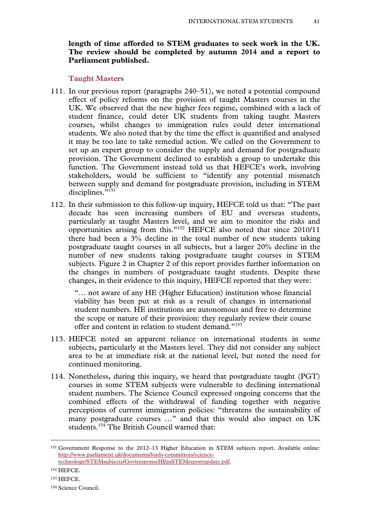# **length of time afforded to STEM graduates to seek work in the UK. The review should be completed by autumn 2014 and a report to Parliament published.**

#### **Taught Masters**

- 111. In our previous report (paragraphs 240–51), we noted a potential compound effect of policy reforms on the provision of taught Masters courses in the UK. We observed that the new higher fees regime, combined with a lack of student finance, could deter UK students from taking taught Masters courses, whilst changes to immigration rules could deter international students. We also noted that by the time the effect is quantified and analysed it may be too late to take remedial action. We called on the Government to set up an expert group to consider the supply and demand for postgraduate provision. The Government declined to establish a group to undertake this function. The Government instead told us that HEFCE's work, involving stakeholders, would be sufficient to "identify any potential mismatch between supply and demand for postgraduate provision, including in STEM disciplines. $\overline{5151}$
- 112. In their submission to this follow-up inquiry, HEFCE told us that: "The past decade has seen increasing numbers of EU and overseas students, particularly at taught Masters level, and we aim to monitor the risks and opportunities arising from this."152 HEFCE also noted that since 2010/11 there had been a 3% decline in the total number of new students taking postgraduate taught courses in all subjects, but a larger 20% decline in the number of new students taking postgraduate taught courses in STEM subjects. Figure 2 in Chapter 2 of this report provides further information on the changes in numbers of postgraduate taught students. Despite these changes, in their evidence to this inquiry, HEFCE reported that they were:

"… not aware of any HE (Higher Education) institution whose financial viability has been put at risk as a result of changes in international student numbers. HE institutions are autonomous and free to determine the scope or nature of their provision: they regularly review their course offer and content in relation to student demand."153

- 113. HEFCE noted an apparent reliance on international students in some subjects, particularly at the Masters level. They did not consider any subject area to be at immediate risk at the national level, but noted the need for continued monitoring.
- 114. Nonetheless, during this inquiry, we heard that postgraduate taught (PGT) courses in some STEM subjects were vulnerable to declining international student numbers. The Science Council expressed ongoing concerns that the combined effects of the withdrawal of funding together with negative perceptions of current immigration policies: "threatens the sustainability of many postgraduate courses ..." and that this would also impact on UK students.<sup>154</sup> The British Council warned that:

 <sup>151</sup> Government Response to the 2012–13 Higher Education in STEM subjects report. Available online: http://www.parliament.uk/documents/lords-committees/sciencetechnology/STEMsubjects/GovtresponseHEinSTEMreportupdate.pdf.

<sup>152</sup> HEFCE.

<sup>153</sup> HEFCE.

<sup>154</sup> Science Council.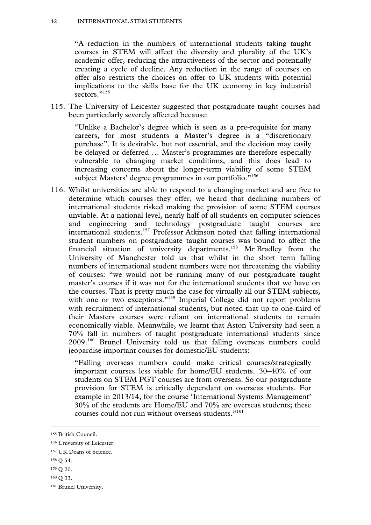"A reduction in the numbers of international students taking taught courses in STEM will affect the diversity and plurality of the UK's academic offer, reducing the attractiveness of the sector and potentially creating a cycle of decline. Any reduction in the range of courses on offer also restricts the choices on offer to UK students with potential implications to the skills base for the UK economy in key industrial sectors<sup>"155</sup>

115. The University of Leicester suggested that postgraduate taught courses had been particularly severely affected because:

"Unlike a Bachelor's degree which is seen as a pre-requisite for many careers, for most students a Master's degree is a "discretionary purchase". It is desirable, but not essential, and the decision may easily be delayed or deferred … Master's programmes are therefore especially vulnerable to changing market conditions, and this does lead to increasing concerns about the longer-term viability of some STEM subject Masters' degree programmes in our portfolio."<sup>156</sup>

116. Whilst universities are able to respond to a changing market and are free to determine which courses they offer, we heard that declining numbers of international students risked making the provision of some STEM courses unviable. At a national level, nearly half of all students on computer sciences and engineering and technology postgraduate taught courses are international students.157 Professor Atkinson noted that falling international student numbers on postgraduate taught courses was bound to affect the financial situation of university departments.<sup>158</sup> Mr Bradley from the University of Manchester told us that whilst in the short term falling numbers of international student numbers were not threatening the viability of courses: "we would not be running many of our postgraduate taught master's courses if it was not for the international students that we have on the courses. That is pretty much the case for virtually all our STEM subjects, with one or two exceptions."<sup>159</sup> Imperial College did not report problems with recruitment of international students, but noted that up to one-third of their Masters courses were reliant on international students to remain economically viable. Meanwhile, we learnt that Aston University had seen a 70% fall in numbers of taught postgraduate international students since 2009.160 Brunel University told us that falling overseas numbers could jeopardise important courses for domestic/EU students:

"Falling overseas numbers could make critical courses/strategically important courses less viable for home/EU students. 30–40% of our students on STEM PGT courses are from overseas. So our postgraduate provision for STEM is critically dependant on overseas students. For example in 2013/14, for the course 'International Systems Management' 30% of the students are Home/EU and 70% are overseas students; these courses could not run without overseas students."<sup>161</sup>

159 Q 20.

 <sup>155</sup> British Council.

<sup>156</sup> University of Leicester.

<sup>157</sup> UK Deans of Science.

<sup>158</sup> Q 54.

<sup>160</sup> Q 33.

<sup>161</sup> Brunel University.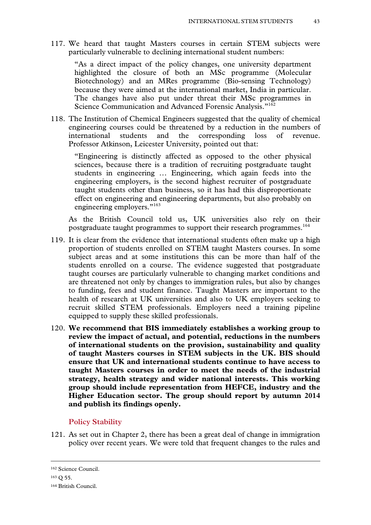117. We heard that taught Masters courses in certain STEM subjects were particularly vulnerable to declining international student numbers:

"As a direct impact of the policy changes, one university department highlighted the closure of both an MSc programme (Molecular Biotechnology) and an MRes programme (Bio-sensing Technology) because they were aimed at the international market, India in particular. The changes have also put under threat their MSc programmes in Science Communication and Advanced Forensic Analysis."162

118. The Institution of Chemical Engineers suggested that the quality of chemical engineering courses could be threatened by a reduction in the numbers of international students and the corresponding loss of revenue. Professor Atkinson, Leicester University, pointed out that:

"Engineering is distinctly affected as opposed to the other physical sciences, because there is a tradition of recruiting postgraduate taught students in engineering … Engineering, which again feeds into the engineering employers, is the second highest recruiter of postgraduate taught students other than business, so it has had this disproportionate effect on engineering and engineering departments, but also probably on engineering employers."<sup>163</sup>

As the British Council told us, UK universities also rely on their postgraduate taught programmes to support their research programmes.<sup>164</sup>

- 119. It is clear from the evidence that international students often make up a high proportion of students enrolled on STEM taught Masters courses. In some subject areas and at some institutions this can be more than half of the students enrolled on a course. The evidence suggested that postgraduate taught courses are particularly vulnerable to changing market conditions and are threatened not only by changes to immigration rules, but also by changes to funding, fees and student finance. Taught Masters are important to the health of research at UK universities and also to UK employers seeking to recruit skilled STEM professionals. Employers need a training pipeline equipped to supply these skilled professionals.
- 120. **We recommend that BIS immediately establishes a working group to review the impact of actual, and potential, reductions in the numbers of international students on the provision, sustainability and quality of taught Masters courses in STEM subjects in the UK. BIS should ensure that UK and international students continue to have access to taught Masters courses in order to meet the needs of the industrial strategy, health strategy and wider national interests. This working group should include representation from HEFCE, industry and the Higher Education sector. The group should report by autumn 2014 and publish its findings openly.**

#### **Policy Stability**

121. As set out in Chapter 2, there has been a great deal of change in immigration policy over recent years. We were told that frequent changes to the rules and

 <sup>162</sup> Science Council.

<sup>163</sup> Q 55.

<sup>164</sup> British Council.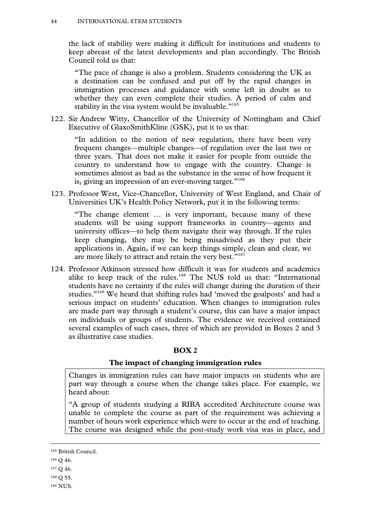the lack of stability were making it difficult for institutions and students to keep abreast of the latest developments and plan accordingly. The British Council told us that:

"The pace of change is also a problem. Students considering the UK as a destination can be confused and put off by the rapid changes in immigration processes and guidance with some left in doubt as to whether they can even complete their studies. A period of calm and stability in the visa system would be invaluable."<sup>165</sup>

122. Sir Andrew Witty, Chancellor of the University of Nottingham and Chief Executive of GlaxoSmithKline (GSK), put it to us that:

"In addition to the notion of new regulation, there have been very frequent changes—multiple changes—of regulation over the last two or three years. That does not make it easier for people from outside the country to understand how to engage with the country. Change is sometimes almost as bad as the substance in the sense of how frequent it is, giving an impression of an ever-moving target."<sup>166</sup>

123. Professor West, Vice-Chancellor, University of West England, and Chair of Universities UK's Health Policy Network, put it in the following terms:

"The change element … is very important, because many of these students will be using support frameworks in country—agents and university offices—to help them navigate their way through. If the rules keep changing, they may be being misadvised as they put their applications in. Again, if we can keep things simple, clean and clear, we are more likely to attract and retain the very best."<sup>167</sup>

124. Professor Atkinson stressed how difficult it was for students and academics alike to keep track of the rules.<sup>168</sup> The NUS told us that: "International students have no certainty if the rules will change during the duration of their studies."169 We heard that shifting rules had 'moved the goalposts' and had a serious impact on students' education. When changes to immigration rules are made part way through a student's course, this can have a major impact on individuals or groups of students. The evidence we received contained several examples of such cases, three of which are provided in Boxes 2 and 3 as illustrative case studies.

#### **BOX 2**

#### **The impact of changing immigration rules**

Changes in immigration rules can have major impacts on students who are part way through a course when the change takes place. For example, we heard about:

"A group of students studying a RIBA accredited Architecture course was unable to complete the course as part of the requirement was achieving a number of hours work experience which were to occur at the end of teaching. The course was designed while the post-study work visa was in place, and

- 166 Q 46.
- 167 Q 46.
- 168 Q 55.
- 169 NUS.

 <sup>165</sup> British Council.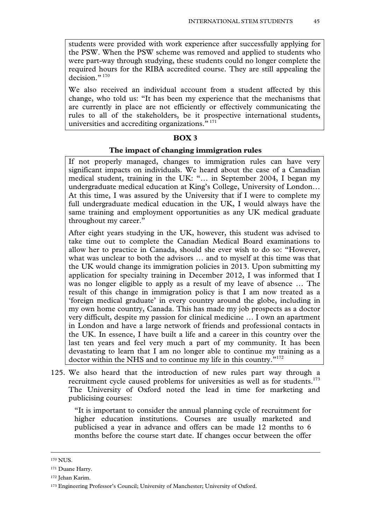students were provided with work experience after successfully applying for the PSW. When the PSW scheme was removed and applied to students who were part-way through studying, these students could no longer complete the required hours for the RIBA accredited course. They are still appealing the decision."<sup>170</sup>

We also received an individual account from a student affected by this change, who told us: "It has been my experience that the mechanisms that are currently in place are not efficiently or effectively communicating the rules to all of the stakeholders, be it prospective international students, universities and accrediting organizations." 171

### **BOX 3**

#### **The impact of changing immigration rules**

If not properly managed, changes to immigration rules can have very significant impacts on individuals. We heard about the case of a Canadian medical student, training in the UK: "… in September 2004, I began my undergraduate medical education at King's College, University of London… At this time, I was assured by the University that if I were to complete my full undergraduate medical education in the UK, I would always have the same training and employment opportunities as any UK medical graduate throughout my career."

After eight years studying in the UK, however, this student was advised to take time out to complete the Canadian Medical Board examinations to allow her to practice in Canada, should she ever wish to do so: "However, what was unclear to both the advisors … and to myself at this time was that the UK would change its immigration policies in 2013. Upon submitting my application for specialty training in December 2012, I was informed that I was no longer eligible to apply as a result of my leave of absence … The result of this change in immigration policy is that I am now treated as a 'foreign medical graduate' in every country around the globe, including in my own home country, Canada. This has made my job prospects as a doctor very difficult, despite my passion for clinical medicine … I own an apartment in London and have a large network of friends and professional contacts in the UK. In essence, I have built a life and a career in this country over the last ten years and feel very much a part of my community. It has been devastating to learn that I am no longer able to continue my training as a doctor within the NHS and to continue my life in this country."<sup>172</sup>

125. We also heard that the introduction of new rules part way through a recruitment cycle caused problems for universities as well as for students.<sup>173</sup> The University of Oxford noted the lead in time for marketing and publicising courses:

"It is important to consider the annual planning cycle of recruitment for higher education institutions. Courses are usually marketed and publicised a year in advance and offers can be made 12 months to 6 months before the course start date. If changes occur between the offer

 <sup>170</sup> NUS.

<sup>171</sup> Duane Harry.

<sup>172</sup> Jehan Karim.

<sup>173</sup> Engineering Professor's Council; University of Manchester; University of Oxford.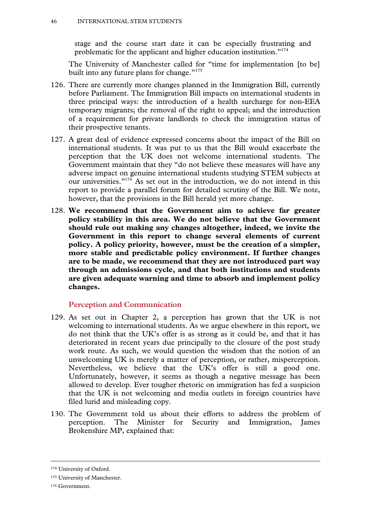stage and the course start date it can be especially frustrating and problematic for the applicant and higher education institution."174

The University of Manchester called for "time for implementation [to be] built into any future plans for change."<sup>175</sup>

- 126. There are currently more changes planned in the Immigration Bill, currently before Parliament. The Immigration Bill impacts on international students in three principal ways: the introduction of a health surcharge for non-EEA temporary migrants; the removal of the right to appeal; and the introduction of a requirement for private landlords to check the immigration status of their prospective tenants.
- 127. A great deal of evidence expressed concerns about the impact of the Bill on international students. It was put to us that the Bill would exacerbate the perception that the UK does not welcome international students. The Government maintain that they "do not believe these measures will have any adverse impact on genuine international students studying STEM subjects at our universities."176 As set out in the introduction, we do not intend in this report to provide a parallel forum for detailed scrutiny of the Bill. We note, however, that the provisions in the Bill herald yet more change.
- 128. **We recommend that the Government aim to achieve far greater policy stability in this area. We do not believe that the Government should rule out making any changes altogether, indeed, we invite the Government in this report to change several elements of current policy. A policy priority, however, must be the creation of a simpler, more stable and predictable policy environment. If further changes are to be made, we recommend that they are not introduced part way through an admissions cycle, and that both institutions and students are given adequate warning and time to absorb and implement policy changes.**

#### **Perception and Communication**

- 129. As set out in Chapter 2, a perception has grown that the UK is not welcoming to international students. As we argue elsewhere in this report, we do not think that the UK's offer is as strong as it could be, and that it has deteriorated in recent years due principally to the closure of the post study work route. As such, we would question the wisdom that the notion of an unwelcoming UK is merely a matter of perception, or rather, misperception. Nevertheless, we believe that the UK's offer is still a good one. Unfortunately, however, it seems as though a negative message has been allowed to develop. Ever tougher rhetoric on immigration has fed a suspicion that the UK is not welcoming and media outlets in foreign countries have filed lurid and misleading copy.
- 130. The Government told us about their efforts to address the problem of perception. The Minister for Security and Immigration, James Brokenshire MP, explained that:

 <sup>174</sup> University of Oxford.

<sup>175</sup> University of Manchester.

<sup>176</sup> Government.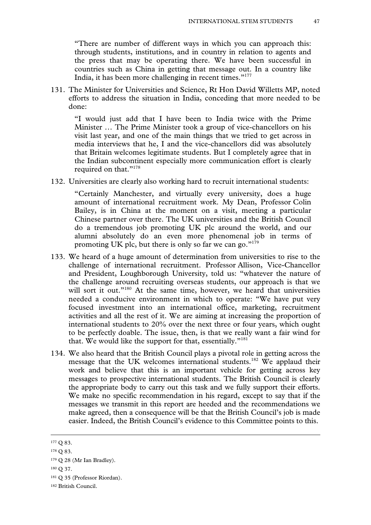"There are number of different ways in which you can approach this: through students, institutions, and in country in relation to agents and the press that may be operating there. We have been successful in countries such as China in getting that message out. In a country like India, it has been more challenging in recent times."<sup>177</sup>

131. The Minister for Universities and Science, Rt Hon David Willetts MP, noted efforts to address the situation in India, conceding that more needed to be done:

"I would just add that I have been to India twice with the Prime Minister … The Prime Minister took a group of vice-chancellors on his visit last year, and one of the main things that we tried to get across in media interviews that he, I and the vice-chancellors did was absolutely that Britain welcomes legitimate students. But I completely agree that in the Indian subcontinent especially more communication effort is clearly required on that."<sup>178</sup>

132. Universities are clearly also working hard to recruit international students:

"Certainly Manchester, and virtually every university, does a huge amount of international recruitment work. My Dean, Professor Colin Bailey, is in China at the moment on a visit, meeting a particular Chinese partner over there. The UK universities and the British Council do a tremendous job promoting UK plc around the world, and our alumni absolutely do an even more phenomenal job in terms of promoting UK plc, but there is only so far we can go." $179$ 

- 133. We heard of a huge amount of determination from universities to rise to the challenge of international recruitment. Professor Allison, Vice-Chancellor and President, Loughborough University, told us: "whatever the nature of the challenge around recruiting overseas students, our approach is that we will sort it out."<sup>180</sup> At the same time, however, we heard that universities needed a conducive environment in which to operate: "We have put very focused investment into an international office, marketing, recruitment activities and all the rest of it. We are aiming at increasing the proportion of international students to 20% over the next three or four years, which ought to be perfectly doable. The issue, then, is that we really want a fair wind for that. We would like the support for that, essentially."181
- 134. We also heard that the British Council plays a pivotal role in getting across the message that the UK welcomes international students.182 We applaud their work and believe that this is an important vehicle for getting across key messages to prospective international students. The British Council is clearly the appropriate body to carry out this task and we fully support their efforts. We make no specific recommendation in his regard, except to say that if the messages we transmit in this report are heeded and the recommendations we make agreed, then a consequence will be that the British Council's job is made easier. Indeed, the British Council's evidence to this Committee points to this.

<sup>177</sup> Q 83.

<sup>178</sup> Q 83.

<sup>&</sup>lt;sup>179</sup> Q 28 (Mr Ian Bradley).

<sup>180</sup> Q 37.

<sup>181</sup> Q 35 (Professor Riordan).

<sup>182</sup> British Council.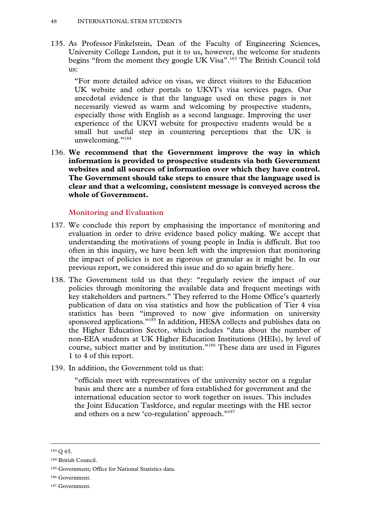135. As Professor Finkelstein, Dean of the Faculty of Engineering Sciences, University College London, put it to us, however, the welcome for students begins "from the moment they google UK Visa".<sup>183</sup> The British Council told us:

"For more detailed advice on visas, we direct visitors to the Education UK website and other portals to UKVI's visa services pages. Our anecdotal evidence is that the language used on these pages is not necessarily viewed as warm and welcoming by prospective students, especially those with English as a second language. Improving the user experience of the UKVI website for prospective students would be a small but useful step in countering perceptions that the UK is unwelcoming."<sup>184</sup>

136. **We recommend that the Government improve the way in which information is provided to prospective students via both Government websites and all sources of information over which they have control. The Government should take steps to ensure that the language used is clear and that a welcoming, consistent message is conveyed across the whole of Government.** 

#### **Monitoring and Evaluation**

- 137. We conclude this report by emphasising the importance of monitoring and evaluation in order to drive evidence based policy making. We accept that understanding the motivations of young people in India is difficult. But too often in this inquiry, we have been left with the impression that monitoring the impact of policies is not as rigorous or granular as it might be. In our previous report, we considered this issue and do so again briefly here.
- 138. The Government told us that they: "regularly review the impact of our policies through monitoring the available data and frequent meetings with key stakeholders and partners." They referred to the Home Office's quarterly publication of data on visa statistics and how the publication of Tier 4 visa statistics has been "improved to now give information on university sponsored applications."<sup>185</sup> In addition, HESA collects and publishes data on the Higher Education Sector, which includes "data about the number of non-EEA students at UK Higher Education Institutions (HEIs), by level of course, subject matter and by institution."186 These data are used in Figures 1 to 4 of this report.
- 139. In addition, the Government told us that:

"officials meet with representatives of the university sector on a regular basis and there are a number of fora established for government and the international education sector to work together on issues. This includes the Joint Education Taskforce, and regular meetings with the HE sector and others on a new 'co-regulation' approach."<sup>187</sup>

 <sup>183</sup> Q 65.

<sup>184</sup> British Council.

<sup>185</sup> Government; Office for National Statistics data.

<sup>186</sup> Government.

<sup>187</sup> Government.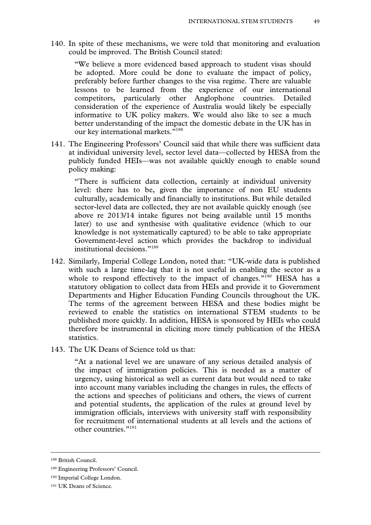140. In spite of these mechanisms, we were told that monitoring and evaluation could be improved. The British Council stated:

"We believe a more evidenced based approach to student visas should be adopted. More could be done to evaluate the impact of policy, preferably before further changes to the visa regime. There are valuable lessons to be learned from the experience of our international competitors, particularly other Anglophone countries. Detailed consideration of the experience of Australia would likely be especially informative to UK policy makers. We would also like to see a much better understanding of the impact the domestic debate in the UK has in our key international markets."<sup>188</sup>

141. The Engineering Professors' Council said that while there was sufficient data at individual university level, sector level data—collected by HESA from the publicly funded HEIs—was not available quickly enough to enable sound policy making:

"There is sufficient data collection, certainly at individual university level: there has to be, given the importance of non EU students culturally, academically and financially to institutions. But while detailed sector-level data are collected, they are not available quickly enough (see above re 2013/14 intake figures not being available until 15 months later) to use and synthesise with qualitative evidence (which to our knowledge is not systematically captured) to be able to take appropriate Government-level action which provides the backdrop to individual institutional decisions."189

- 142. Similarly, Imperial College London, noted that: "UK-wide data is published with such a large time-lag that it is not useful in enabling the sector as a whole to respond effectively to the impact of changes."<sup>190</sup> HESA has a statutory obligation to collect data from HEIs and provide it to Government Departments and Higher Education Funding Councils throughout the UK. The terms of the agreement between HESA and these bodies might be reviewed to enable the statistics on international STEM students to be published more quickly. In addition, HESA is sponsored by HEIs who could therefore be instrumental in eliciting more timely publication of the HESA statistics.
- 143. The UK Deans of Science told us that:

"At a national level we are unaware of any serious detailed analysis of the impact of immigration policies. This is needed as a matter of urgency, using historical as well as current data but would need to take into account many variables including the changes in rules, the effects of the actions and speeches of politicians and others, the views of current and potential students, the application of the rules at ground level by immigration officials, interviews with university staff with responsibility for recruitment of international students at all levels and the actions of other countries<sup>"191</sup>

 <sup>188</sup> British Council.

<sup>189</sup> Engineering Professors' Council.

<sup>190</sup> Imperial College London.

<sup>191</sup> UK Deans of Science.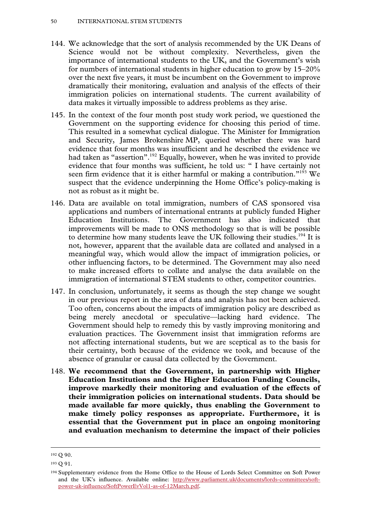- 144. We acknowledge that the sort of analysis recommended by the UK Deans of Science would not be without complexity. Nevertheless, given the importance of international students to the UK, and the Government's wish for numbers of international students in higher education to grow by 15–20% over the next five years, it must be incumbent on the Government to improve dramatically their monitoring, evaluation and analysis of the effects of their immigration policies on international students. The current availability of data makes it virtually impossible to address problems as they arise.
- 145. In the context of the four month post study work period, we questioned the Government on the supporting evidence for choosing this period of time. This resulted in a somewhat cyclical dialogue. The Minister for Immigration and Security, James Brokenshire MP, queried whether there was hard evidence that four months was insufficient and he described the evidence we had taken as "assertion".<sup>192</sup> Equally, however, when he was invited to provide evidence that four months was sufficient, he told us: " I have certainly not seen firm evidence that it is either harmful or making a contribution."<sup>193</sup> We suspect that the evidence underpinning the Home Office's policy-making is not as robust as it might be.
- 146. Data are available on total immigration, numbers of CAS sponsored visa applications and numbers of international entrants at publicly funded Higher Education Institutions. The Government has also indicated that improvements will be made to ONS methodology so that is will be possible to determine how many students leave the UK following their studies.<sup>194</sup> It is not, however, apparent that the available data are collated and analysed in a meaningful way, which would allow the impact of immigration policies, or other influencing factors, to be determined. The Government may also need to make increased efforts to collate and analyse the data available on the immigration of international STEM students to other, competitor countries.
- 147. In conclusion, unfortunately, it seems as though the step change we sought in our previous report in the area of data and analysis has not been achieved. Too often, concerns about the impacts of immigration policy are described as being merely anecdotal or speculative—lacking hard evidence. The Government should help to remedy this by vastly improving monitoring and evaluation practices. The Government insist that immigration reforms are not affecting international students, but we are sceptical as to the basis for their certainty, both because of the evidence we took, and because of the absence of granular or causal data collected by the Government.
- 148. **We recommend that the Government, in partnership with Higher Education Institutions and the Higher Education Funding Councils, improve markedly their monitoring and evaluation of the effects of their immigration policies on international students. Data should be made available far more quickly, thus enabling the Government to make timely policy responses as appropriate. Furthermore, it is essential that the Government put in place an ongoing monitoring and evaluation mechanism to determine the impact of their policies**

 <sup>192</sup> Q 90.

<sup>193</sup> Q 91.

<sup>194</sup> Supplementary evidence from the Home Office to the House of Lords Select Committee on Soft Power and the UK's influence. Available online: http://www.parliament.uk/documents/lords-committees/softpower-uk-influence/SoftPowerEvVol1-as-of-12March.pdf.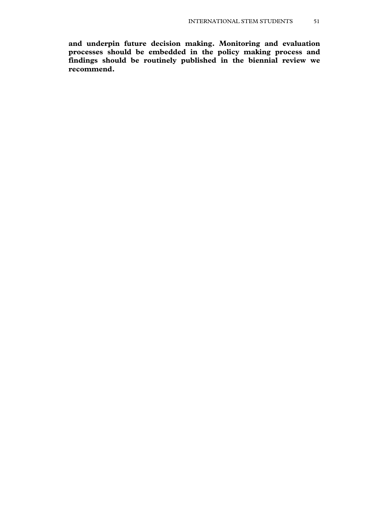**and underpin future decision making. Monitoring and evaluation processes should be embedded in the policy making process and findings should be routinely published in the biennial review we recommend.**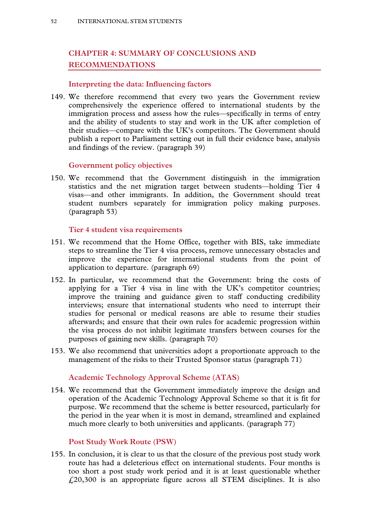# **CHAPTER 4: SUMMARY OF CONCLUSIONS AND RECOMMENDATIONS**

# **Interpreting the data: Influencing factors**

149. We therefore recommend that every two years the Government review comprehensively the experience offered to international students by the immigration process and assess how the rules—specifically in terms of entry and the ability of students to stay and work in the UK after completion of their studies—compare with the UK's competitors. The Government should publish a report to Parliament setting out in full their evidence base, analysis and findings of the review. (paragraph 39)

#### **Government policy objectives**

150. We recommend that the Government distinguish in the immigration statistics and the net migration target between students—holding Tier 4 visas—and other immigrants. In addition, the Government should treat student numbers separately for immigration policy making purposes. (paragraph 53)

#### **Tier 4 student visa requirements**

- 151. We recommend that the Home Office, together with BIS, take immediate steps to streamline the Tier 4 visa process, remove unnecessary obstacles and improve the experience for international students from the point of application to departure. (paragraph 69)
- 152. In particular, we recommend that the Government: bring the costs of applying for a Tier 4 visa in line with the UK's competitor countries; improve the training and guidance given to staff conducting credibility interviews; ensure that international students who need to interrupt their studies for personal or medical reasons are able to resume their studies afterwards; and ensure that their own rules for academic progression within the visa process do not inhibit legitimate transfers between courses for the purposes of gaining new skills. (paragraph 70)
- 153. We also recommend that universities adopt a proportionate approach to the management of the risks to their Trusted Sponsor status (paragraph 71)

# **Academic Technology Approval Scheme (ATAS)**

154. We recommend that the Government immediately improve the design and operation of the Academic Technology Approval Scheme so that it is fit for purpose. We recommend that the scheme is better resourced, particularly for the period in the year when it is most in demand, streamlined and explained much more clearly to both universities and applicants. (paragraph 77)

#### **Post Study Work Route (PSW)**

155. In conclusion, it is clear to us that the closure of the previous post study work route has had a deleterious effect on international students. Four months is too short a post study work period and it is at least questionable whether £20,300 is an appropriate figure across all STEM disciplines. It is also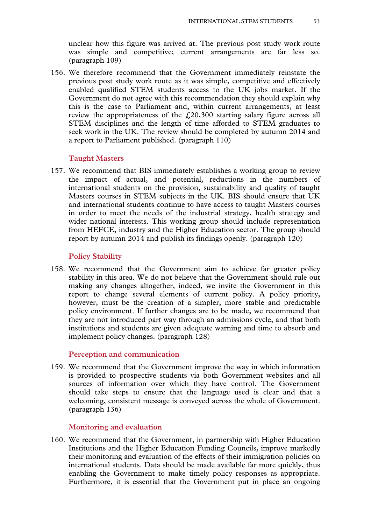unclear how this figure was arrived at. The previous post study work route was simple and competitive; current arrangements are far less so. (paragraph 109)

156. We therefore recommend that the Government immediately reinstate the previous post study work route as it was simple, competitive and effectively enabled qualified STEM students access to the UK jobs market. If the Government do not agree with this recommendation they should explain why this is the case to Parliament and, within current arrangements, at least review the appropriateness of the  $f<sub>1</sub>(20,300)$  starting salary figure across all STEM disciplines and the length of time afforded to STEM graduates to seek work in the UK. The review should be completed by autumn 2014 and a report to Parliament published. (paragraph 110)

#### **Taught Masters**

157. We recommend that BIS immediately establishes a working group to review the impact of actual, and potential, reductions in the numbers of international students on the provision, sustainability and quality of taught Masters courses in STEM subjects in the UK. BIS should ensure that UK and international students continue to have access to taught Masters courses in order to meet the needs of the industrial strategy, health strategy and wider national interests. This working group should include representation from HEFCE, industry and the Higher Education sector. The group should report by autumn 2014 and publish its findings openly. (paragraph 120)

#### **Policy Stability**

158. We recommend that the Government aim to achieve far greater policy stability in this area. We do not believe that the Government should rule out making any changes altogether, indeed, we invite the Government in this report to change several elements of current policy. A policy priority, however, must be the creation of a simpler, more stable and predictable policy environment. If further changes are to be made, we recommend that they are not introduced part way through an admissions cycle, and that both institutions and students are given adequate warning and time to absorb and implement policy changes. (paragraph 128)

#### **Perception and communication**

159. We recommend that the Government improve the way in which information is provided to prospective students via both Government websites and all sources of information over which they have control. The Government should take steps to ensure that the language used is clear and that a welcoming, consistent message is conveyed across the whole of Government. (paragraph 136)

#### **Monitoring and evaluation**

160. We recommend that the Government, in partnership with Higher Education Institutions and the Higher Education Funding Councils, improve markedly their monitoring and evaluation of the effects of their immigration policies on international students. Data should be made available far more quickly, thus enabling the Government to make timely policy responses as appropriate. Furthermore, it is essential that the Government put in place an ongoing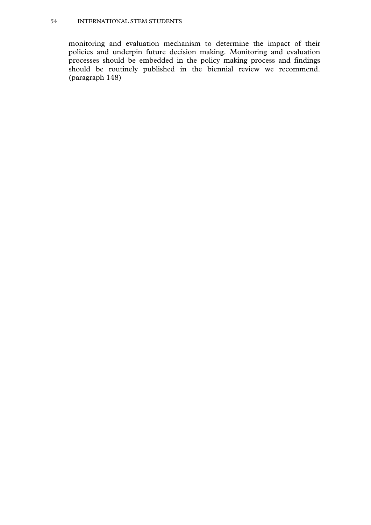#### 54 INTERNATIONAL STEM STUDENTS

monitoring and evaluation mechanism to determine the impact of their policies and underpin future decision making. Monitoring and evaluation processes should be embedded in the policy making process and findings should be routinely published in the biennial review we recommend. (paragraph 148)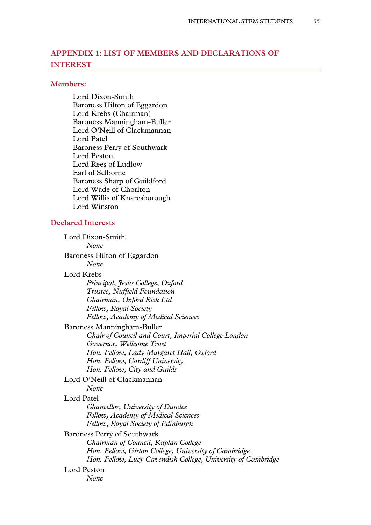# **APPENDIX 1: LIST OF MEMBERS AND DECLARATIONS OF INTEREST**

#### **Members:**

Lord Dixon-Smith Baroness Hilton of Eggardon Lord Krebs (Chairman) Baroness Manningham-Buller Lord O'Neill of Clackmannan Lord Patel Baroness Perry of Southwark Lord Peston Lord Rees of Ludlow Earl of Selborne Baroness Sharp of Guildford Lord Wade of Chorlton Lord Willis of Knaresborough Lord Winston

# **Declared Interests**

| Lord Dixon-Smith                                             |
|--------------------------------------------------------------|
| None                                                         |
| Baroness Hilton of Eggardon                                  |
| None                                                         |
| Lord Krebs                                                   |
| Principal, Jesus College, Oxford                             |
| Trustee, Nuffield Foundation                                 |
| Chairman, Oxford Risk Ltd                                    |
| Fellow, Royal Society                                        |
| Fellow, Academy of Medical Sciences                          |
| Baroness Manningham-Buller                                   |
| Chair of Council and Court, Imperial College London          |
| Governor, Wellcome Trust                                     |
| Hon. Fellow, Lady Margaret Hall, Oxford                      |
| Hon. Fellow, Cardiff University                              |
| Hon. Fellow, City and Guilds                                 |
| Lord O'Neill of Clackmannan                                  |
| None                                                         |
| Lord Patel                                                   |
| Chancellor, University of Dundee                             |
| Fellow, Academy of Medical Sciences                          |
| Fellow, Royal Society of Edinburgh                           |
| Baroness Perry of Southwark                                  |
| Chairman of Council, Kaplan College                          |
| Hon. Fellow, Girton College, University of Cambridge         |
| Hon. Fellow, Lucy Cavendish College, University of Cambridge |
| Lord Peston                                                  |
| None                                                         |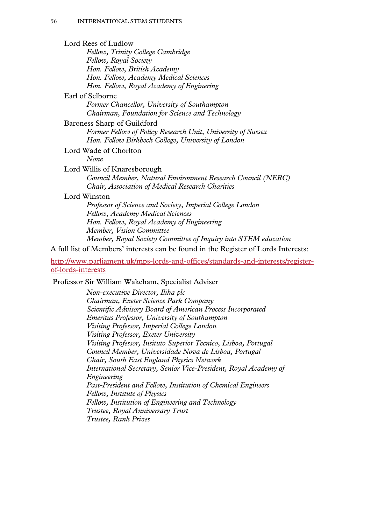Lord Rees of Ludlow *Fellow, Trinity College Cambridge Fellow, Royal Society Hon. Fellow, British Academy Hon. Fellow, Academy Medical Sciences Hon. Fellow, Royal Academy of Enginering* 

#### Earl of Selborne

*Former Chancellor, University of Southampton Chairman, Foundation for Science and Technology* 

#### Baroness Sharp of Guildford

*Former Fellow of Policy Research Unit, University of Sussex Hon. Fellow Birkbeck College, University of London* 

Lord Wade of Chorlton

*None* 

#### Lord Willis of Knaresborough

*Council Member, Natural Environment Research Council (NERC) Chair, Association of Medical Research Charities* 

#### Lord Winston

*Professor of Science and Society, Imperial College London Fellow, Academy Medical Sciences Hon. Fellow, Royal Academy of Engineering Member, Vision Committee Member, Royal Society Committee of Inquiry into STEM education* 

A full list of Members' interests can be found in the Register of Lords Interests:

http://www.parliament.uk/mps-lords-and-offices/standards-and-interests/registerof-lords-interests

Professor Sir William Wakeham, Specialist Adviser

*Non-executive Director, Ilika plc Chairman, Exeter Science Park Company Scientific Advisory Board of American Process Incorporated Emeritus Professor, University of Southampton Visiting Professor, Imperial College London Visiting Professor, Exeter University Visiting Professor, Insituto Superior Tecnico, Lisboa, Portugal Council Member, Universidade Nova de Lisboa, Portugal Chair, South East England Physics Network International Secretary, Senior Vice-President, Royal Academy of Engineering Past-President and Fellow, Institution of Chemical Engineers Fellow, Institute of Physics Fellow, Institution of Engineering and Technology Trustee, Royal Anniversary Trust Trustee, Rank Prizes*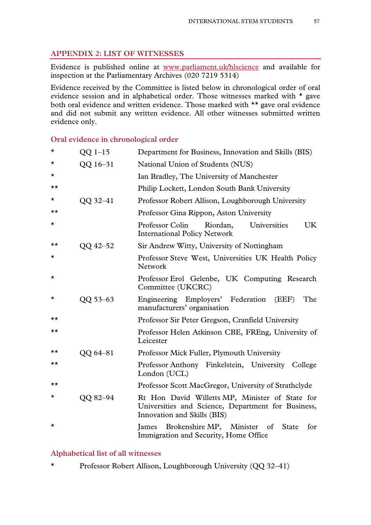# **APPENDIX 2: LIST OF WITNESSES**

Evidence is published online at www.parliament.uk/hlscience and available for inspection at the Parliamentary Archives (020 7219 5314)

Evidence received by the Committee is listed below in chronological order of oral evidence session and in alphabetical order. Those witnesses marked with  $\star$  gave both oral evidence and written evidence. Those marked with \*\* gave oral evidence and did not submit any written evidence. All other witnesses submitted written evidence only.

**Oral evidence in chronological order** 

| $\star$  | $QQ$ 1-15 | Department for Business, Innovation and Skills (BIS)                                                                                 |
|----------|-----------|--------------------------------------------------------------------------------------------------------------------------------------|
| $\star$  | QQ 16-31  | National Union of Students (NUS)                                                                                                     |
| $^\star$ |           | Ian Bradley, The University of Manchester                                                                                            |
| ★★       |           | Philip Lockett, London South Bank University                                                                                         |
| $^\star$ | QQ 32-41  | Professor Robert Allison, Loughborough University                                                                                    |
| ★★       |           | Professor Gina Rippon, Aston University                                                                                              |
| $^\star$ |           | <b>UK</b><br>Professor Colin<br>Riordan,<br>Universities<br><b>International Policy Network</b>                                      |
| ★★       | QQ 42-52  | Sir Andrew Witty, University of Nottingham                                                                                           |
| *        |           | Professor Steve West, Universities UK Health Policy<br><b>Network</b>                                                                |
| $\star$  |           | Professor Erol Gelenbe, UK Computing Research<br>Committee (UKCRC)                                                                   |
| $^\star$ | QQ 53-63  | Engineering Employers' Federation<br>(EEF)<br>The<br>manufacturers' organisation                                                     |
| ★★       |           | Professor Sir Peter Gregson, Cranfield University                                                                                    |
| ★★       |           | Professor Helen Atkinson CBE, FREng, University of<br>Leicester                                                                      |
| ★★       | QQ 64-81  | Professor Mick Fuller, Plymouth University                                                                                           |
| ★★       |           | Professor Anthony Finkelstein, University College<br>London (UCL)                                                                    |
| ★★       |           | Professor Scott MacGregor, University of Strathclyde                                                                                 |
| ★        | QQ 82-94  | Rt Hon David Willetts MP, Minister of State for<br>Universities and Science, Department for Business,<br>Innovation and Skills (BIS) |
| $\star$  |           | Brokenshire MP, Minister<br>$\circ$ of<br><b>State</b><br>for<br>James<br>Immigration and Security, Home Office                      |

# **Alphabetical list of all witnesses**

\* Professor Robert Allison, Loughborough University (QQ 32–41)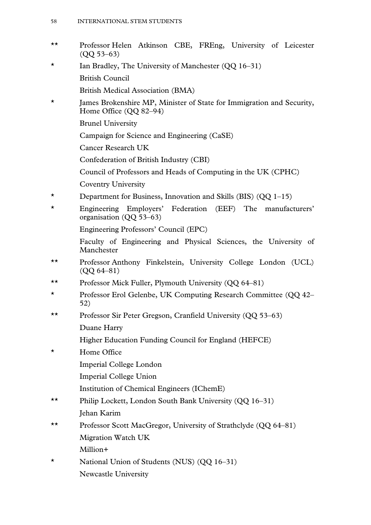- \*\* Professor Helen Atkinson CBE, FREng, University of Leicester (QQ 53–63)
- \* Ian Bradley, The University of Manchester (QQ 16–31) British Council
	- British Medical Association (BMA)
- \* James Brokenshire MP, Minister of State for Immigration and Security, Home Office (QQ 82–94)
	- Brunel University
	- Campaign for Science and Engineering (CaSE)
	- Cancer Research UK
	- Confederation of British Industry (CBI)
	- Council of Professors and Heads of Computing in the UK (CPHC)
	- Coventry University
- \* Department for Business, Innovation and Skills (BIS)  $(QQ 1-15)$
- \* Engineering Employers' Federation (EEF) The manufacturers' organisation (QQ 53–63)
	- Engineering Professors' Council (EPC)
	- Faculty of Engineering and Physical Sciences, the University of Manchester
- \*\* Professor Anthony Finkelstein, University College London (UCL) (QQ 64–81)
- \*\* Professor Mick Fuller, Plymouth University (QQ 64–81)
- \* Professor Erol Gelenbe, UK Computing Research Committee (QQ 42– 52)
- \*\* Professor Sir Peter Gregson, Cranfield University (QQ 53–63) Duane Harry
	- Higher Education Funding Council for England (HEFCE)
- \* Home Office
	- Imperial College London
	- Imperial College Union
	- Institution of Chemical Engineers (IChemE)
- \*\* Philip Lockett, London South Bank University (QQ 16–31) Jehan Karim
- \*\* Professor Scott MacGregor, University of Strathclyde (QQ 64–81) Migration Watch UK Million+
- \* National Union of Students (NUS) (QQ 16–31) Newcastle University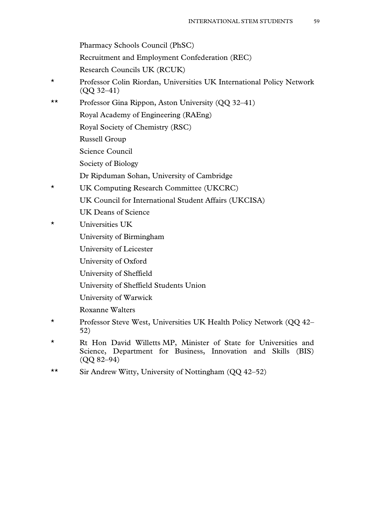Pharmacy Schools Council (PhSC)

Recruitment and Employment Confederation (REC)

Research Councils UK (RCUK)

- \* Professor Colin Riordan, Universities UK International Policy Network (QQ 32–41)
- \*\* Professor Gina Rippon, Aston University (QQ 32–41)
	- Royal Academy of Engineering (RAEng)
	- Royal Society of Chemistry (RSC)
	- Russell Group
	- Science Council
	- Society of Biology
	- Dr Ripduman Sohan, University of Cambridge
- \* UK Computing Research Committee (UKCRC)
	- UK Council for International Student Affairs (UKCISA)
		- UK Deans of Science
- \* Universities UK
	- University of Birmingham
	- University of Leicester
	- University of Oxford
	- University of Sheffield
	- University of Sheffield Students Union
	- University of Warwick
	- Roxanne Walters
- \* Professor Steve West, Universities UK Health Policy Network (QQ 42– 52)
- \* Rt Hon David Willetts MP, Minister of State for Universities and Science, Department for Business, Innovation and Skills (BIS) (QQ 82–94)
- \*\* Sir Andrew Witty, University of Nottingham (QQ 42–52)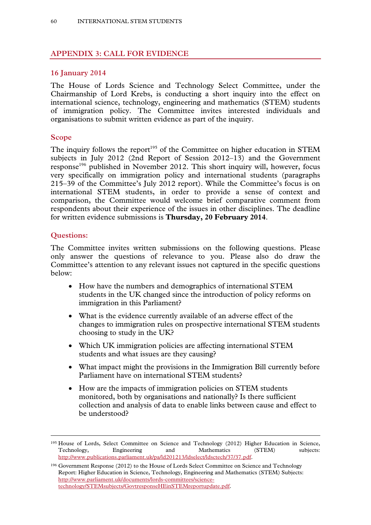# **APPENDIX 3: CALL FOR EVIDENCE**

# **16 January 2014**

The House of Lords Science and Technology Select Committee, under the Chairmanship of Lord Krebs, is conducting a short inquiry into the effect on international science, technology, engineering and mathematics (STEM) students of immigration policy. The Committee invites interested individuals and organisations to submit written evidence as part of the inquiry.

# **Scope**

The inquiry follows the report<sup>195</sup> of the Committee on higher education in STEM subjects in July 2012 (2nd Report of Session 2012–13) and the Government response<sup>196</sup> published in November 2012. This short inquiry will, however, focus very specifically on immigration policy and international students (paragraphs 215–39 of the Committee's July 2012 report). While the Committee's focus is on international STEM students, in order to provide a sense of context and comparison, the Committee would welcome brief comparative comment from respondents about their experience of the issues in other disciplines. The deadline for written evidence submissions is **Thursday, 20 February 2014**.

# **Questions:**

The Committee invites written submissions on the following questions. Please only answer the questions of relevance to you. Please also do draw the Committee's attention to any relevant issues not captured in the specific questions below:

- How have the numbers and demographics of international STEM students in the UK changed since the introduction of policy reforms on immigration in this Parliament?
- What is the evidence currently available of an adverse effect of the changes to immigration rules on prospective international STEM students choosing to study in the UK?
- Which UK immigration policies are affecting international STEM students and what issues are they causing?
- What impact might the provisions in the Immigration Bill currently before Parliament have on international STEM students?
- How are the impacts of immigration policies on STEM students monitored, both by organisations and nationally? Is there sufficient collection and analysis of data to enable links between cause and effect to be understood?

 <sup>195</sup> House of Lords, Select Committee on Science and Technology (2012) Higher Education in Science, Technology, Engineering and Mathematics (STEM) subjects: http://www.publications.parliament.uk/pa/ld201213/ldselect/ldsctech/37/37.pdf.

<sup>196</sup> Government Response (2012) to the House of Lords Select Committee on Science and Technology Report: Higher Education in Science, Technology, Engineering and Mathematics (STEM) Subjects: http://www.parliament.uk/documents/lords-committees/sciencetechnology/STEMsubjects/GovtresponseHEinSTEMreportupdate.pdf.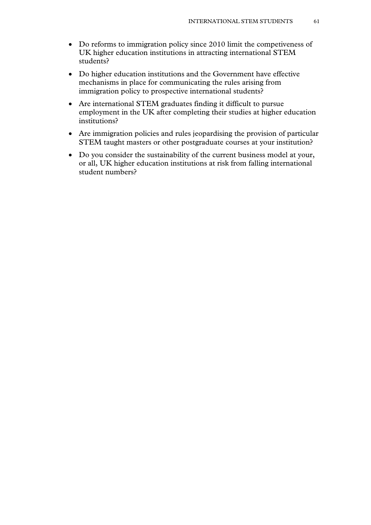- Do reforms to immigration policy since 2010 limit the competiveness of UK higher education institutions in attracting international STEM students?
- Do higher education institutions and the Government have effective mechanisms in place for communicating the rules arising from immigration policy to prospective international students?
- Are international STEM graduates finding it difficult to pursue employment in the UK after completing their studies at higher education institutions?
- Are immigration policies and rules jeopardising the provision of particular STEM taught masters or other postgraduate courses at your institution?
- Do you consider the sustainability of the current business model at your, or all, UK higher education institutions at risk from falling international student numbers?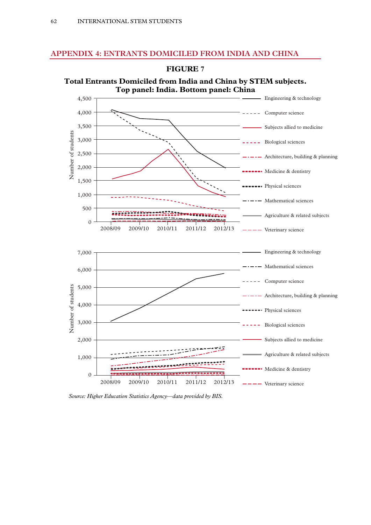# **APPENDIX 4: ENTRANTS DOMICILED FROM INDIA AND CHINA**



**Total Entrants Domiciled from India and China by STEM subjects.** 

**FIGURE 7** 

*Source: Higher Education Statistics Agency—data provided by BIS.*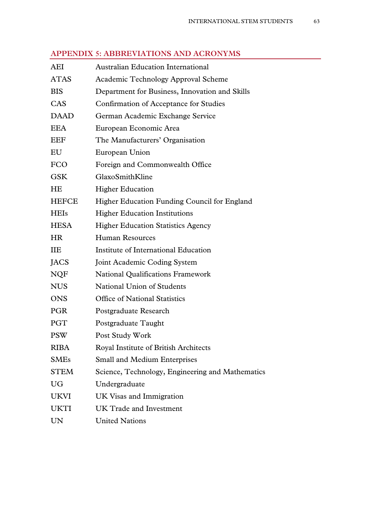|  |  |  |  | <b>APPENDIX 5: ABBREVIATIONS AND ACRONYMS</b> |
|--|--|--|--|-----------------------------------------------|
|--|--|--|--|-----------------------------------------------|

| AEI          | <b>Australian Education International</b>        |
|--------------|--------------------------------------------------|
| <b>ATAS</b>  | <b>Academic Technology Approval Scheme</b>       |
| <b>BIS</b>   | Department for Business, Innovation and Skills   |
| CAS          | Confirmation of Acceptance for Studies           |
| <b>DAAD</b>  | German Academic Exchange Service                 |
| <b>EEA</b>   | European Economic Area                           |
| EEF          | The Manufacturers' Organisation                  |
| EU           | European Union                                   |
| <b>FCO</b>   | Foreign and Commonwealth Office                  |
| <b>GSK</b>   | GlaxoSmithKline                                  |
| <b>HE</b>    | <b>Higher Education</b>                          |
| <b>HEFCE</b> | Higher Education Funding Council for England     |
| <b>HEIs</b>  | <b>Higher Education Institutions</b>             |
| <b>HESA</b>  | <b>Higher Education Statistics Agency</b>        |
| <b>HR</b>    | <b>Human Resources</b>                           |
| IIE          | Institute of International Education             |
| JACS         | Joint Academic Coding System                     |
| <b>NQF</b>   | <b>National Qualifications Framework</b>         |
| <b>NUS</b>   | National Union of Students                       |
| <b>ONS</b>   | <b>Office of National Statistics</b>             |
| <b>PGR</b>   | Postgraduate Research                            |
| PGT          | Postgraduate Taught                              |
| <b>PSW</b>   | Post Study Work                                  |
| <b>RIBA</b>  | Royal Institute of British Architects            |
| <b>SMEs</b>  | <b>Small and Medium Enterprises</b>              |
| <b>STEM</b>  | Science, Technology, Engineering and Mathematics |
| <b>UG</b>    | Undergraduate                                    |
| <b>UKVI</b>  | UK Visas and Immigration                         |
| <b>UKTI</b>  | UK Trade and Investment                          |
| UN           | <b>United Nations</b>                            |
|              |                                                  |